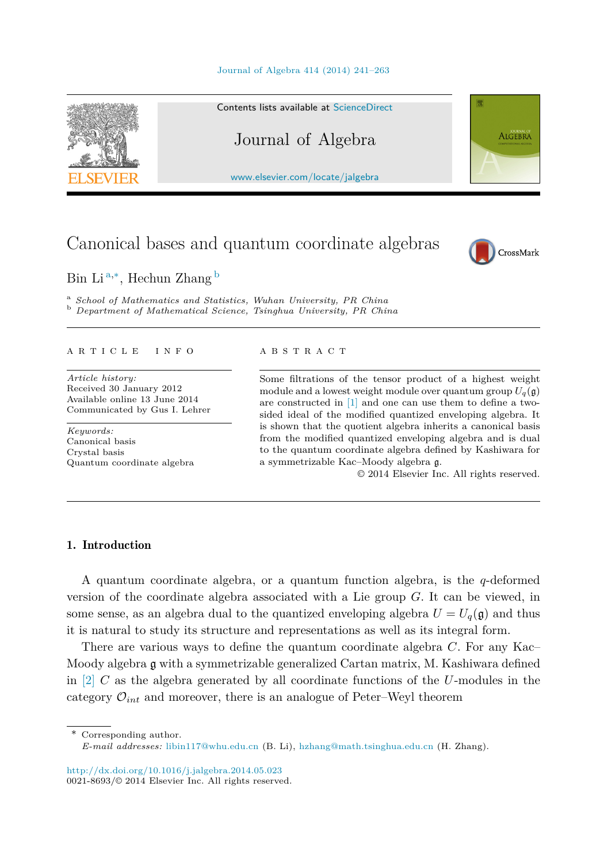



Contents lists available at [ScienceDirect](http://www.ScienceDirect.com/)

# Journal of Algebra

[www.elsevier.com/locate/jalgebra](http://www.elsevier.com/locate/jalgebra)

# Canonical bases and quantum coordinate algebras



**ALGEBRA** 

Bin Li <sup>a</sup>*,*∗, Hechun Zhang <sup>b</sup>

<sup>a</sup> School of Mathematics and Statistics, Wuhan University, PR China<br><sup>b</sup> Department of Mathematical Science, Tsinghua University, PR China

#### A R T I C L E I N F O A B S T R A C T

*Article history:* Received 30 January 2012 Available online 13 June 2014 Communicated by Gus I. Lehrer

*Keywords:* Canonical basis Crystal basis Quantum coordinate algebra

Some filtrations of the tensor product of a highest weight module and a lowest weight module over quantum group  $U_q(\mathfrak{g})$ are constructed in [\[1\]](#page-22-0) and one can use them to define a twosided ideal of the modified quantized enveloping algebra. It is shown that the quotient algebra inherits a canonical basis from the modified quantized enveloping algebra and is dual to the quantum coordinate algebra defined by Kashiwara for a symmetrizable Kac–Moody algebra g.

© 2014 Elsevier Inc. All rights reserved.

#### 1. Introduction

A quantum coordinate algebra, or a quantum function algebra, is the *q*-deformed version of the coordinate algebra associated with a Lie group *G*. It can be viewed, in some sense, as an algebra dual to the quantized enveloping algebra  $U = U_q(\mathfrak{g})$  and thus it is natural to study its structure and representations as well as its integral form.

There are various ways to define the quantum coordinate algebra *C*. For any Kac– Moody algebra g with a symmetrizable generalized Cartan matrix, M. Kashiwara defined in [\[2\]](#page-22-0) *C* as the algebra generated by all coordinate functions of the *U*-modules in the category  $\mathcal{O}_{int}$  and moreover, there is an analogue of Peter–Weyl theorem

Corresponding author.

<http://dx.doi.org/10.1016/j.jalgebra.2014.05.023> 0021-8693/© 2014 Elsevier Inc. All rights reserved.

*E-mail addresses:* [libin117@whu.edu.cn](mailto:libin117@whu.edu.cn) (B. Li), [hzhang@math.tsinghua.edu.cn](mailto:hzhang@math.tsinghua.edu.cn) (H. Zhang).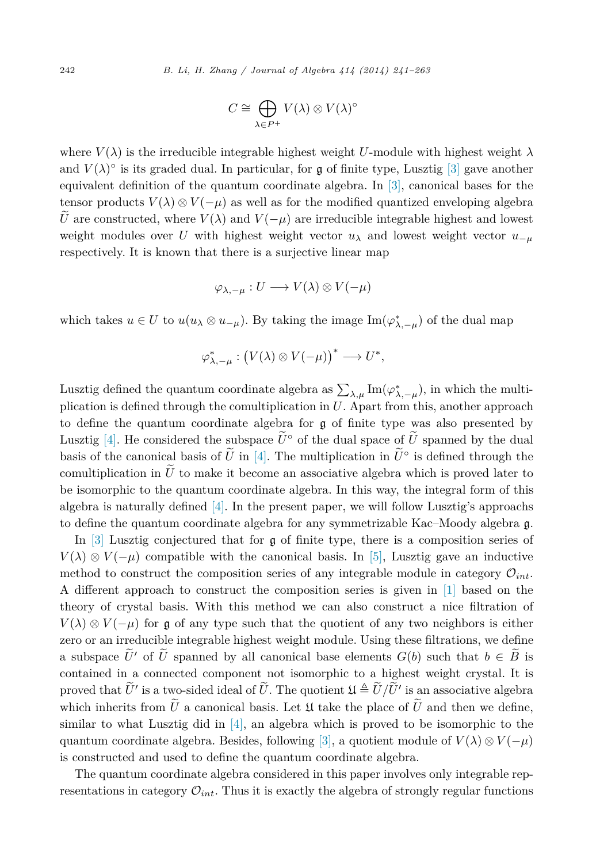$$
C \cong \bigoplus_{\lambda \in P^+} V(\lambda) \otimes V(\lambda)^\circ
$$

where  $V(\lambda)$  is the irreducible integrable highest weight *U*-module with highest weight  $\lambda$ and  $V(\lambda)^\circ$  is its graded dual. In particular, for g of finite type, Lusztig [\[3\]](#page-22-0) gave another equivalent definition of the quantum coordinate algebra. In [\[3\],](#page-22-0) canonical bases for the tensor products  $V(\lambda) \otimes V(-\mu)$  as well as for the modified quantized enveloping algebra  $\tilde{U}$  are constructed, where  $V(\lambda)$  and  $V(-\mu)$  are irreducible integrable highest and lowest weight modules over *U* with highest weight vector  $u_{\lambda}$  and lowest weight vector  $u_{-\mu}$ respectively. It is known that there is a surjective linear map

$$
\varphi_{\lambda,-\mu}: U \longrightarrow V(\lambda) \otimes V(-\mu)
$$

which takes  $u \in U$  to  $u(u_{\lambda} \otimes u_{-\mu})$ . By taking the image  $\text{Im}(\varphi_{\lambda,-\mu}^*)$  of the dual map

$$
\varphi_{\lambda,-\mu}^* : (V(\lambda) \otimes V(-\mu))^* \longrightarrow U^*,
$$

Lusztig defined the quantum coordinate algebra as  $\sum_{\lambda,\mu}$  Im( $\varphi^*_{\lambda,-\mu}$ ), in which the multiplication is defined through the comultiplication in *U*. Apart from this, another approach to define the quantum coordinate algebra for g of finite type was also presented by Lusztig [\[4\].](#page-22-0) He considered the subspace  $\tilde{U}^{\circ}$  of the dual space of  $\tilde{U}$  spanned by the dual basis of the canonical basis of  $\tilde{U}$  in [\[4\].](#page-22-0) The multiplication in  $\tilde{U}^{\circ}$  is defined through the comultiplication in  $\tilde{U}$  to make it become an associative algebra which is proved later to be isomorphic to the quantum coordinate algebra. In this way, the integral form of this algebra is naturally defined  $[4]$ . In the present paper, we will follow Lusztig's approachs to define the quantum coordinate algebra for any symmetrizable Kac–Moody algebra g.

In [\[3\]](#page-22-0) Lusztig conjectured that for g of finite type, there is a composition series of  $V(\lambda) \otimes V(-\mu)$  compatible with the canonical basis. In [\[5\],](#page-22-0) Lusztig gave an inductive method to construct the composition series of any integrable module in category  $\mathcal{O}_{int}$ . A different approach to construct the composition series is given in [\[1\]](#page-22-0) based on the theory of crystal basis. With this method we can also construct a nice filtration of  $V(\lambda) \otimes V(-\mu)$  for g of any type such that the quotient of any two neighbors is either zero or an irreducible integrable highest weight module. Using these filtrations, we define a subspace  $\tilde{U}'$  of  $\tilde{U}$  spanned by all canonical base elements  $G(b)$  such that  $b \in \tilde{B}$  is contained in a connected component not isomorphic to a highest weight crystal. It is proved that  $U'$  is a two-sided ideal of  $U$ . The quotient  $\mathfrak{U} \triangleq U/U'$  is an associative algebra which inherits from  $\tilde{U}$  a canonical basis. Let  $\mathfrak U$  take the place of  $\tilde{U}$  and then we define, similar to what Lusztig did in  $[4]$ , an algebra which is proved to be isomorphic to the quantum coordinate algebra. Besides, following [\[3\],](#page-22-0) a quotient module of  $V(\lambda) \otimes V(-\mu)$ is constructed and used to define the quantum coordinate algebra.

The quantum coordinate algebra considered in this paper involves only integrable representations in category  $\mathcal{O}_{int}$ . Thus it is exactly the algebra of strongly regular functions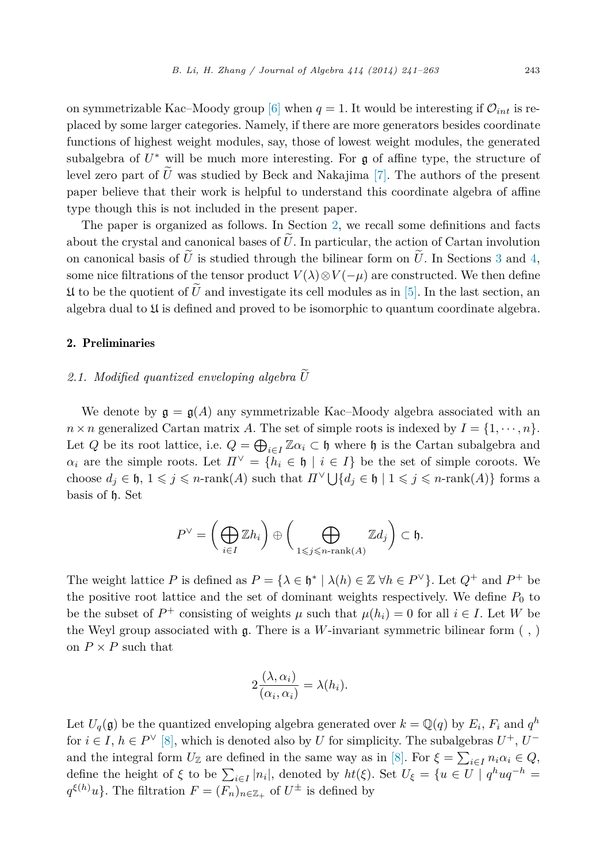on symmetrizable Kac–Moody group [\[6\]](#page-22-0) when  $q = 1$ . It would be interesting if  $\mathcal{O}_{int}$  is replaced by some larger categories. Namely, if there are more generators besides coordinate functions of highest weight modules, say, those of lowest weight modules, the generated subalgebra of  $U^*$  will be much more interesting. For  $\mathfrak g$  of affine type, the structure of level zero part of  $\tilde{U}$  was studied by Beck and Nakajima [\[7\].](#page-22-0) The authors of the present paper believe that their work is helpful to understand this coordinate algebra of affine type though this is not included in the present paper.

The paper is organized as follows. In Section 2, we recall some definitions and facts about the crystal and canonical bases of  $\tilde{U}$ . In particular, the action of Cartan involution on canonical basis of  $\tilde{U}$  is studied through the bilinear form on  $\tilde{U}$ . In Sections [3](#page-7-0) and [4,](#page-11-0) some nice filtrations of the tensor product  $V(\lambda) \otimes V(-\mu)$  are constructed. We then define If to be the quotient of  $\tilde{U}$  and investigate its cell modules as in [\[5\].](#page-22-0) In the last section, an algebra dual to  $\mathfrak U$  is defined and proved to be isomorphic to quantum coordinate algebra.

#### 2. Preliminaries

## 2.1. *Modified quantized enveloping algebra*  $\widetilde{U}$

We denote by  $\mathfrak{g} = \mathfrak{g}(A)$  any symmetrizable Kac–Moody algebra associated with an  $n \times n$  generalized Cartan matrix *A*. The set of simple roots is indexed by  $I = \{1, \dots, n\}$ . Let *Q* be its root lattice, i.e.  $Q = \bigoplus_{i \in I} \mathbb{Z} \alpha_i \subset \mathfrak{h}$  where  $\mathfrak{h}$  is the Cartan subalgebra and *α*<sup>*i*</sup> are the simple roots. Let *Π*<sup> $∨$ </sup> = {*h*<sup>*i*</sup> ∈ *h* | *i* ∈ *I*} be the set of simple coroots. We choose  $d_j \in \mathfrak{h}$ ,  $1 \leq j \leq n$ -rank $(A)$  such that  $\Pi^{\vee} \bigcup \{d_j \in \mathfrak{h} \mid 1 \leq j \leq n$ -rank $(A)$ } forms a basis of h. Set

$$
P^{\vee} = \left(\bigoplus_{i \in I} \mathbb{Z}h_i\right) \oplus \left(\bigoplus_{1 \leqslant j \leqslant n\text{-rank}(A)} \mathbb{Z}d_j\right) \subset \mathfrak{h}.
$$

The weight lattice *P* is defined as  $P = {\lambda \in \mathfrak{h}^* \mid \lambda(h) \in \mathbb{Z} \forall h \in P^\vee}$ . Let  $Q^+$  and  $P^+$  be the positive root lattice and the set of dominant weights respectively. We define  $P_0$  to be the subset of  $P^+$  consisting of weights  $\mu$  such that  $\mu(h_i) = 0$  for all  $i \in I$ . Let W be the Weyl group associated with  $\mathfrak{g}$ . There is a *W*-invariant symmetric bilinear form  $( , )$ on  $P \times P$  such that

$$
2\frac{(\lambda, \alpha_i)}{(\alpha_i, \alpha_i)} = \lambda(h_i).
$$

Let  $U_q(\mathfrak{g})$  be the quantized enveloping algebra generated over  $k = \mathbb{Q}(q)$  by  $E_i$ ,  $F_i$  and  $q^h$ for  $i \in I$ ,  $h \in P^{\vee}$  [\[8\],](#page-22-0) which is denoted also by *U* for simplicity. The subalgebras  $U^{+}$ ,  $U^{-}$ and the integral form  $U_{\mathbb{Z}}$  are defined in the same way as in [\[8\].](#page-22-0) For  $\xi = \sum_{i \in I} n_i \alpha_i \in Q$ , define the height of  $\xi$  to be  $\sum_{i\in I} |n_i|$ , denoted by  $ht(\xi)$ . Set  $U_{\xi} = \{u \in U \mid q^h u q^{-h} =$  $q^{\xi(h)}u$ . The filtration  $F = (F_n)_{n \in \mathbb{Z}_+}$  of  $U^{\pm}$  is defined by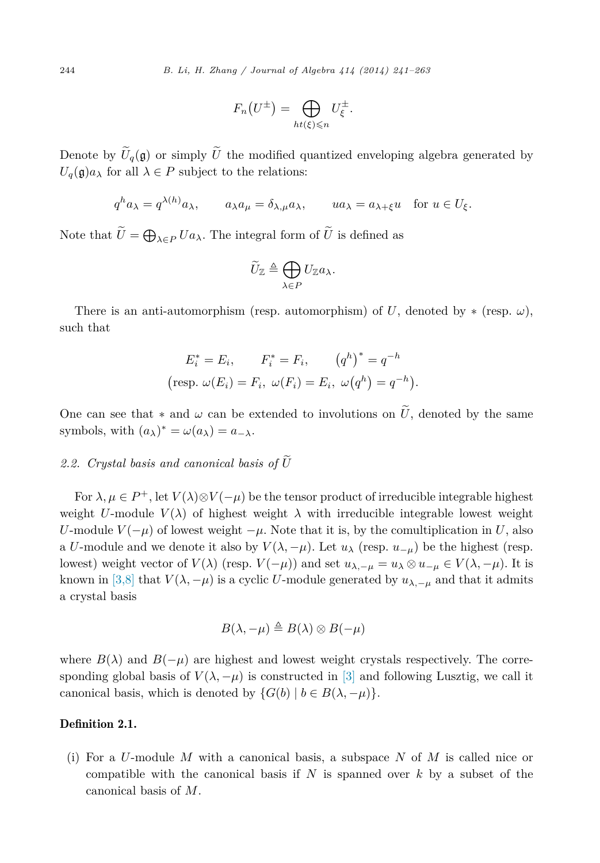$$
F_n(U^{\pm}) = \bigoplus_{ht(\xi)\leq n} U_{\xi}^{\pm}.
$$

Denote by  $\tilde{U}_q(\mathfrak{g})$  or simply  $\tilde{U}$  the modified quantized enveloping algebra generated by  $U_q(\mathfrak{g})a_\lambda$  for all  $\lambda \in P$  subject to the relations:

$$
q^h a_\lambda = q^{\lambda(h)} a_\lambda, \qquad a_\lambda a_\mu = \delta_{\lambda,\mu} a_\lambda, \qquad u a_\lambda = a_{\lambda + \xi} u \quad \text{for } u \in U_\xi.
$$

Note that  $\tilde{U} = \bigoplus_{\lambda \in P} U a_{\lambda}$ . The integral form of  $\tilde{U}$  is defined as

$$
\widetilde{U}_{\mathbb{Z}} \triangleq \bigoplus_{\lambda \in P} U_{\mathbb{Z}} a_{\lambda}.
$$

There is an anti-automorphism (resp. automorphism) of *U*, denoted by  $*$  (resp.  $\omega$ ), such that

$$
E_i^* = E_i, \tF_i^* = F_i, \t(q^h)^* = q^{-h}
$$
  
(resp.  $\omega(E_i) = F_i, \ \omega(F_i) = E_i, \ \omega(q^h) = q^{-h}$ ).

One can see that  $*$  and  $\omega$  can be extended to involutions on  $\tilde{U}$ , denoted by the same symbols, with  $(a_{\lambda})^* = \omega(a_{\lambda}) = a_{-\lambda}$ .

# 2.2. *Crystal basis and canonical basis of*  $\widetilde{U}$

For  $\lambda, \mu \in P^+$ , let  $V(\lambda) \otimes V(-\mu)$  be the tensor product of irreducible integrable highest weight *U*-module  $V(\lambda)$  of highest weight  $\lambda$  with irreducible integrable lowest weight *U*-module  $V(-\mu)$  of lowest weight  $-\mu$ . Note that it is, by the comultiplication in *U*, also a *U*-module and we denote it also by  $V(\lambda, -\mu)$ . Let  $u_{\lambda}$  (resp.  $u_{-\mu}$ ) be the highest (resp. lowest) weight vector of  $V(\lambda)$  (resp.  $V(-\mu)$ ) and set  $u_{\lambda,-\mu} = u_{\lambda} \otimes u_{-\mu} \in V(\lambda,-\mu)$ . It is known in [\[3,8\]](#page-22-0) that  $V(\lambda, -\mu)$  is a cyclic *U*-module generated by  $u_{\lambda, -\mu}$  and that it admits a crystal basis

$$
B(\lambda, -\mu) \triangleq B(\lambda) \otimes B(-\mu)
$$

where  $B(\lambda)$  and  $B(-\mu)$  are highest and lowest weight crystals respectively. The corresponding global basis of  $V(\lambda, -\mu)$  is constructed in [\[3\]](#page-22-0) and following Lusztig, we call it canonical basis, which is denoted by  $\{G(b) | b \in B(\lambda, -\mu)\}.$ 

#### Definition 2.1.

(i) For a *U*-module *M* with a canonical basis, a subspace *N* of *M* is called nice or compatible with the canonical basis if *N* is spanned over *k* by a subset of the canonical basis of *M*.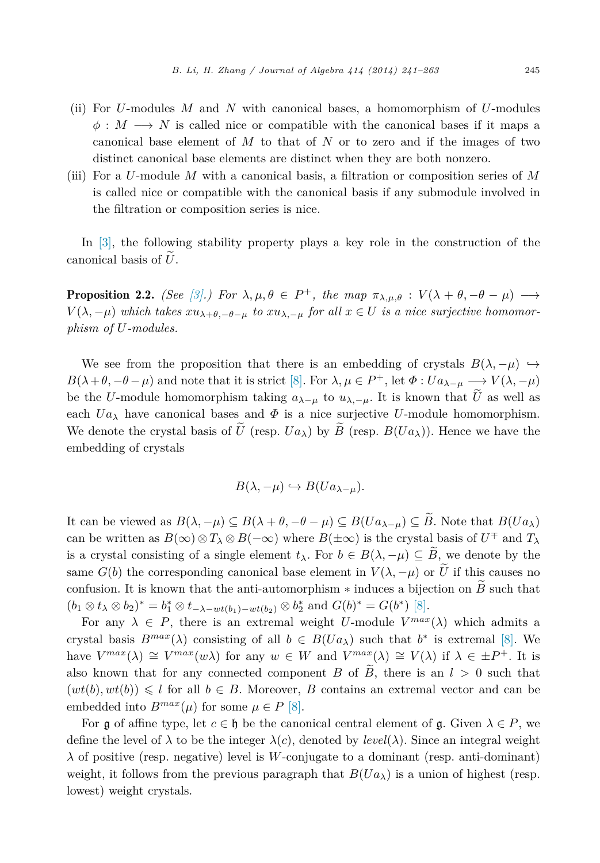- (ii) For *U*-modules *M* and *N* with canonical bases, a homomorphism of *U*-modules  $\phi: M \longrightarrow N$  is called nice or compatible with the canonical bases if it maps a canonical base element of *M* to that of *N* or to zero and if the images of two distinct canonical base elements are distinct when they are both nonzero.
- (iii) For a *U*-module *M* with a canonical basis, a filtration or composition series of *M* is called nice or compatible with the canonical basis if any submodule involved in the filtration or composition series is nice.

In [\[3\],](#page-22-0) the following stability property plays a key role in the construction of the canonical basis of  $\tilde{U}$ .

**Proposition 2.2.** *(See [\[3\].](#page-22-0)) For*  $\lambda, \mu, \theta \in P^+$ *, the map*  $\pi_{\lambda, \mu, \theta}: V(\lambda + \theta, -\theta - \mu) \longrightarrow$  $V(\lambda,-\mu)$  which takes  $xu_{\lambda+\theta,-\theta-\mu}$  to  $xu_{\lambda,-\mu}$  for all  $x \in U$  is a nice surjective homomor*phism of U-modules.*

We see from the proposition that there is an embedding of crystals  $B(\lambda, -\mu) \hookrightarrow$  $B(\lambda + \theta, -\theta - \mu)$  and note that it is strict [\[8\].](#page-22-0) For  $\lambda, \mu \in P^+$ , let  $\Phi: U a_{\lambda-\mu} \longrightarrow V(\lambda, -\mu)$ be the *U*-module homomorphism taking  $a_{\lambda-\mu}$  to  $u_{\lambda-\mu}$ . It is known that  $\tilde{U}$  as well as each  $Ua_{\lambda}$  have canonical bases and  $\Phi$  is a nice surjective *U*-module homomorphism. We denote the crystal basis of  $\tilde{U}$  (resp.  $Ua_{\lambda}$ ) by  $\tilde{B}$  (resp.  $B(Ua_{\lambda})$ ). Hence we have the embedding of crystals

$$
B(\lambda, -\mu) \hookrightarrow B(Ua_{\lambda-\mu}).
$$

It can be viewed as  $B(\lambda, -\mu) \subseteq B(\lambda + \theta, -\theta - \mu) \subseteq B(Ua_{\lambda-\mu}) \subseteq \widetilde{B}$ . Note that  $B(Ua_{\lambda})$ can be written as  $B(\infty) \otimes T_\lambda \otimes B(-\infty)$  where  $B(\pm \infty)$  is the crystal basis of  $U^{\mp}$  and  $T_\lambda$ is a crystal consisting of a single element  $t_{\lambda}$ . For  $b \in B(\lambda, -\mu) \subseteq \widetilde{B}$ , we denote by the same  $G(b)$  the corresponding canonical base element in  $V(\lambda, -\mu)$  or  $\tilde{U}$  if this causes no confusion. It is known that the anti-automorphism ∗ induces a bijection on *B* such that  $(b_1 \otimes t_\lambda \otimes b_2)^* = b_1^* \otimes t_{-\lambda - wt(b_1) - wt(b_2)} \otimes b_2^*$  and  $G(b)^* = G(b^*)$  [\[8\].](#page-22-0)

For any  $\lambda \in P$ , there is an extremal weight *U*-module  $V^{max}(\lambda)$  which admits a crystal basis  $B^{max}(\lambda)$  consisting of all  $b \in B(Ua_{\lambda})$  such that  $b^*$  is extremal [\[8\].](#page-22-0) We have  $V^{max}(\lambda) \cong V^{max}(w\lambda)$  for any  $w \in W$  and  $V^{max}(\lambda) \cong V(\lambda)$  if  $\lambda \in \pm P^+$ . It is also known that for any connected component *B* of  $\overline{B}$ , there is an  $l > 0$  such that  $(wt(b), wt(b)) \leq l$  for all  $b \in B$ . Moreover, *B* contains an extremal vector and can be embedded into  $B^{max}(\mu)$  for some  $\mu \in P$  [\[8\].](#page-22-0)

For g of affine type, let  $c \in \mathfrak{h}$  be the canonical central element of g. Given  $\lambda \in P$ , we define the level of  $\lambda$  to be the integer  $\lambda(c)$ , denoted by  $level(\lambda)$ . Since an integral weight *λ* of positive (resp. negative) level is *W*-conjugate to a dominant (resp. anti-dominant) weight, it follows from the previous paragraph that  $B(Ua_{\lambda})$  is a union of highest (resp. lowest) weight crystals.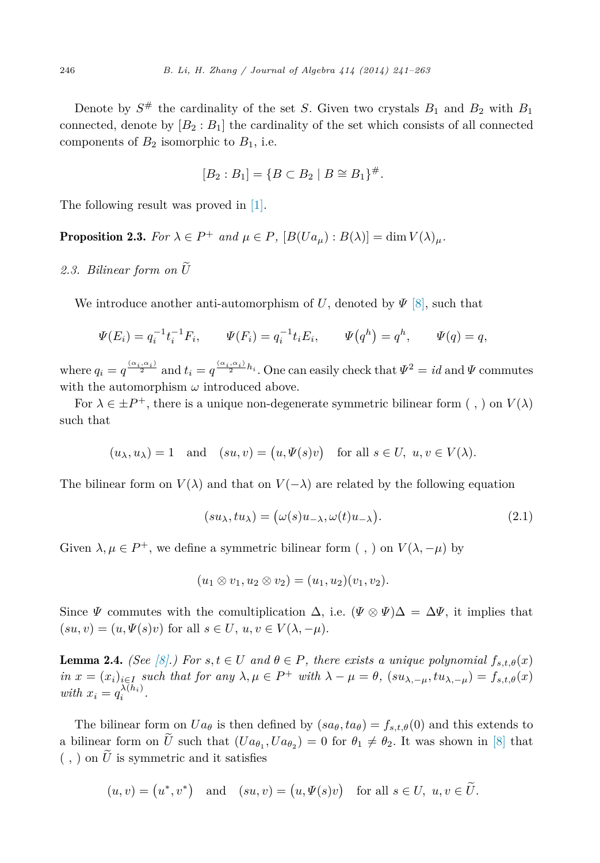<span id="page-5-0"></span>Denote by  $S^{\#}$  the cardinality of the set *S*. Given two crystals  $B_1$  and  $B_2$  with  $B_1$ connected, denote by  $[B_2 : B_1]$  the cardinality of the set which consists of all connected components of  $B_2$  isomorphic to  $B_1$ , i.e.

$$
[B_2 : B_1] = \{ B \subset B_2 \mid B \cong B_1 \}^{\#}.
$$

The following result was proved in [\[1\].](#page-22-0)

**Proposition 2.3.** *For*  $\lambda \in P^+$  *and*  $\mu \in P$ *,*  $[B(Ua_\mu):B(\lambda)] = \dim V(\lambda)_\mu$ *.* 

*2.3. Bilinear form on U*

We introduce another anti-automorphism of *U*, denoted by  $\Psi$  [\[8\],](#page-22-0) such that

$$
\Psi(E_i) = q_i^{-1} t_i^{-1} F_i, \qquad \Psi(F_i) = q_i^{-1} t_i E_i, \qquad \Psi(q^h) = q^h, \qquad \Psi(q) = q,
$$

where  $q_i = q^{\frac{(\alpha_i, \alpha_i)}{2}}$  and  $t_i = q^{\frac{(\alpha_i, \alpha_i)}{2}h_i}$ . One can easily check that  $\Psi^2 = id$  and  $\Psi$  commutes with the automorphism  $\omega$  introduced above.

For  $\lambda \in \pm P^+$ , there is a unique non-degenerate symmetric bilinear form (,) on  $V(\lambda)$ such that

$$
(u_{\lambda}, u_{\lambda}) = 1
$$
 and  $(su, v) = (u, \Psi(s)v)$  for all  $s \in U$ ,  $u, v \in V(\lambda)$ .

The bilinear form on  $V(\lambda)$  and that on  $V(-\lambda)$  are related by the following equation

$$
(su_{\lambda},tu_{\lambda}) = (\omega(s)u_{-\lambda}, \omega(t)u_{-\lambda}).
$$
\n(2.1)

Given  $\lambda, \mu \in P^+$ , we define a symmetric bilinear form (,) on  $V(\lambda, -\mu)$  by

$$
(u_1 \otimes v_1, u_2 \otimes v_2) = (u_1, u_2)(v_1, v_2).
$$

Since  $\Psi$  commutes with the comultiplication  $\Delta$ , i.e.  $(\Psi \otimes \Psi)\Delta = \Delta \Psi$ , it implies that  $(su, v) = (u, \Psi(s)v)$  for all  $s \in U$ ,  $u, v \in V(\lambda, -\mu)$ .

**Lemma 2.4.** *(See [\[8\].](#page-22-0))* For  $s, t \in U$  and  $\theta \in P$ *, there exists* a *unique polynomial*  $f_{s,t,\theta}(x)$ in  $x = (x_i)_{i \in I}$  such that for any  $\lambda, \mu \in P^+$  with  $\lambda - \mu = \theta$ ,  $(su_{\lambda, -\mu}, tu_{\lambda, -\mu}) = f_{s,t,\theta}(x)$ *with*  $x_i = q_i^{\lambda(h_i)}$ .

The bilinear form on  $Ua_{\theta}$  is then defined by  $(sa_{\theta}, ta_{\theta}) = f_{s,t,\theta}(0)$  and this extends to a bilinear form on  $\tilde{U}$  such that  $(Ua_{\theta_1}, Ua_{\theta_2}) = 0$  for  $\theta_1 \neq \theta_2$ . It was shown in [\[8\]](#page-22-0) that ( *,* ) on *U* is symmetric and it satisfies

$$
(u, v) = (u^*, v^*)
$$
 and  $(su, v) = (u, \Psi(s)v)$  for all  $s \in U$ ,  $u, v \in \tilde{U}$ .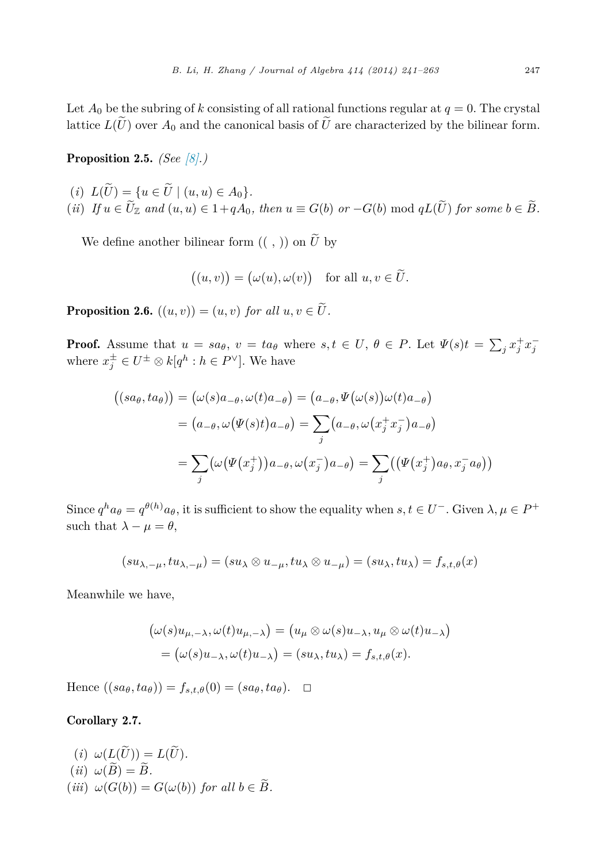<span id="page-6-0"></span>Let  $A_0$  be the subring of *k* consisting of all rational functions regular at  $q = 0$ . The crystal lattice  $L(\widetilde{U})$  over  $A_0$  and the canonical basis of  $\widetilde{U}$  are characterized by the bilinear form.

Proposition 2.5. *(See [\[8\].](#page-22-0))*

(*i*)  $L(\widetilde{U}) = \{u \in \widetilde{U} \mid (u, u) \in A_0\}.$ (ii) If  $u \in \widetilde{U}_\mathbb{Z}$  and  $(u, u) \in 1 + qA_0$ , then  $u \equiv G(b)$  or  $-G(b)$  mod  $qL(\widetilde{U})$  for some  $b \in \widetilde{B}$ .

We define another bilinear form  $((, ))$  on  $\tilde{U}$  by

$$
((u, v)) = (\omega(u), \omega(v)) \text{ for all } u, v \in \widetilde{U}.
$$

**Proposition 2.6.**  $((u, v)) = (u, v)$  *for all*  $u, v \in \tilde{U}$ *.* 

**Proof.** Assume that  $u = sa_{\theta}$ ,  $v = ta_{\theta}$  where  $s, t \in U$ ,  $\theta \in P$ . Let  $\Psi(s)t = \sum_{j} x_{j}^{+} x_{j}^{-}$ where  $x_j^{\pm} \in U^{\pm} \otimes k[q^h : h \in P^{\vee}]$ . We have

$$
((sa_{\theta}, ta_{\theta})) = (\omega(s)a_{-\theta}, \omega(t)a_{-\theta}) = (a_{-\theta}, \Psi(\omega(s))\omega(t)a_{-\theta})
$$

$$
= (a_{-\theta}, \omega(\Psi(s)t)a_{-\theta}) = \sum_{j} (a_{-\theta}, \omega(x_j^+ x_j^-)a_{-\theta})
$$

$$
= \sum_{j} (\omega(\Psi(x_j^+))a_{-\theta}, \omega(x_j^-)a_{-\theta}) = \sum_{j} ((\Psi(x_j^+)a_{\theta}, x_j^- a_{\theta}))
$$

Since  $q^h a_\theta = q^{\theta(h)} a_\theta$ , it is sufficient to show the equality when  $s, t \in U^-$ . Given  $\lambda, \mu \in P^+$ such that  $\lambda - \mu = \theta$ ,

$$
(su_{\lambda,-\mu}, tu_{\lambda,-\mu}) = (su_{\lambda} \otimes u_{-\mu}, tu_{\lambda} \otimes u_{-\mu}) = (su_{\lambda}, tu_{\lambda}) = f_{s,t,\theta}(x)
$$

Meanwhile we have,

$$
(\omega(s)u_{\mu,-\lambda}, \omega(t)u_{\mu,-\lambda}) = (u_{\mu}\otimes \omega(s)u_{-\lambda}, u_{\mu}\otimes \omega(t)u_{-\lambda})
$$
  
= 
$$
(\omega(s)u_{-\lambda}, \omega(t)u_{-\lambda}) = (su_{\lambda}, tu_{\lambda}) = f_{s,t,\theta}(x).
$$

Hence  $((sa_{\theta}, ta_{\theta})) = f_{s,t,\theta}(0) = (sa_{\theta}, ta_{\theta}).$ 

#### Corollary 2.7.

$$
(i) \ \omega(L(\widetilde{U})) = L(\widetilde{U}).
$$
  
\n
$$
(ii) \ \omega(\widetilde{B}) = \widetilde{B}.
$$
  
\n
$$
(iii) \ \omega(G(b)) = G(\omega(b)) \text{ for all } b \in \widetilde{B}.
$$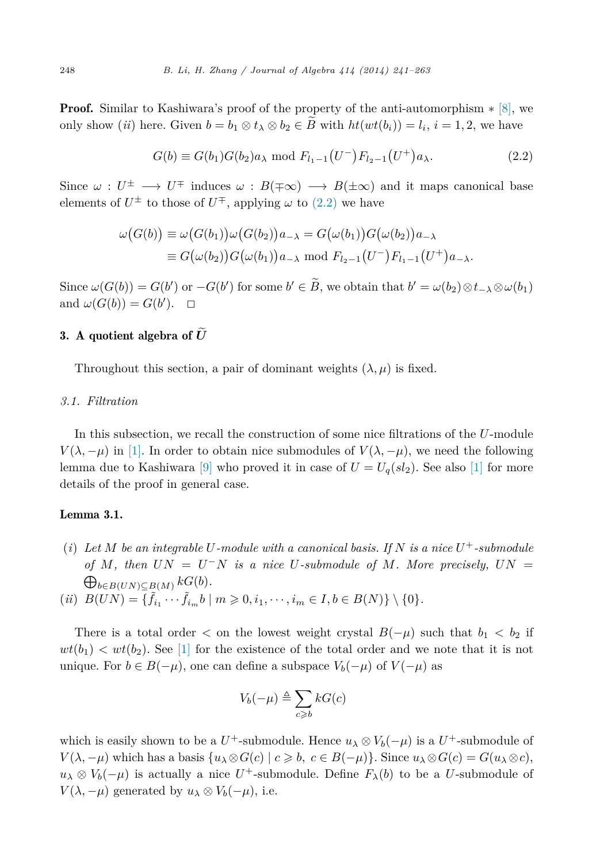<span id="page-7-0"></span>**Proof.** Similar to Kashiwara's proof of the property of the anti-automorphism  $* [8]$ , we only show (*ii*) here. Given  $b = b_1 \otimes t_\lambda \otimes b_2 \in \widetilde{B}$  with  $ht(wt(b_i)) = l_i$ ,  $i = 1, 2$ , we have

$$
G(b) \equiv G(b_1)G(b_2)a_\lambda \text{ mod } F_{l_1-1}(U^-)F_{l_2-1}(U^+)a_\lambda.
$$
 (2.2)

Since  $\omega : U^{\pm} \longrightarrow U^{\mp}$  induces  $\omega : B(\mp \infty) \longrightarrow B(\pm \infty)$  and it maps canonical base elements of  $U^{\pm}$  to those of  $U^{\mp}$ , applying  $\omega$  to (2.2) we have

$$
\omega(G(b)) \equiv \omega(G(b_1))\omega(G(b_2))a_{-\lambda} = G(\omega(b_1))G(\omega(b_2))a_{-\lambda}
$$
  

$$
\equiv G(\omega(b_2))G(\omega(b_1))a_{-\lambda} \text{ mod } F_{l_2-1}(U^-)F_{l_1-1}(U^+)a_{-\lambda}.
$$

Since  $\omega(G(b)) = G(b')$  or  $-G(b')$  for some  $b' \in B$ , we obtain that  $b' = \omega(b_2) \otimes t_{-\lambda} \otimes \omega(b_1)$ and  $\omega(G(b)) = G(b')$ .  $\Box$ 

## 3. A quotient algebra of  $\tilde{U}$

Throughout this section, a pair of dominant weights  $(\lambda, \mu)$  is fixed.

#### *3.1. Filtration*

In this subsection, we recall the construction of some nice filtrations of the *U*-module *V* ( $\lambda$ , −*μ*) in [\[1\].](#page-22-0) In order to obtain nice submodules of  $V(\lambda, -\mu)$ , we need the following lemma due to Kashiwara [\[9\]](#page-22-0) who proved it in case of  $U = U_q(sl_2)$ . See also [\[1\]](#page-22-0) for more details of the proof in general case.

#### Lemma 3.1.

- $(i)$  *Let*  $M$  *be an integrable*  $U$ *-module with a canonical basis. If*  $N$  *is a nice*  $U$ <sup>+</sup>*-submodule of M*, then  $UN = U^-N$  *is a* nice *U*-submodule of *M*. More precisely,  $UN =$  $\bigoplus_{b \in B(UN) \subseteq B(M)} kG(b)$ .
- $(i i)$   $B(UN) = \{ f_{i_1}^c \cdots f_{i_m}^c b \mid m \geq 0, i_1, \dots, i_m \in I, b \in B(N) \} \setminus \{0\}.$

There is a total order  $\lt$  on the lowest weight crystal  $B(-\mu)$  such that  $b_1 \lt b_2$  if  $wt(b_1) < wt(b_2)$ . See [\[1\]](#page-22-0) for the existence of the total order and we note that it is not unique. For  $b \in B(-\mu)$ , one can define a subspace  $V_b(-\mu)$  of  $V(-\mu)$  as

$$
V_b(-\mu) \triangleq \sum_{c \geq b} kG(c)
$$

which is easily shown to be a  $U^+$ -submodule. Hence  $u_\lambda \otimes V_b(-\mu)$  is a  $U^+$ -submodule of *V*( $\lambda$ , −*μ*) which has a basis { $u_{\lambda} \otimes G(c) | c \geq b$ ,  $c \in B(-\mu)$ }. Since  $u_{\lambda} \otimes G(c) = G(u_{\lambda} \otimes c)$ ,  $u_{\lambda} \otimes V_b(-\mu)$  is actually a nice *U*<sup>+</sup>-submodule. Define  $F_{\lambda}(b)$  to be a *U*-submodule of *V*( $\lambda$ , −*μ*) generated by  $u_{\lambda} \otimes V_b(-\mu)$ , i.e.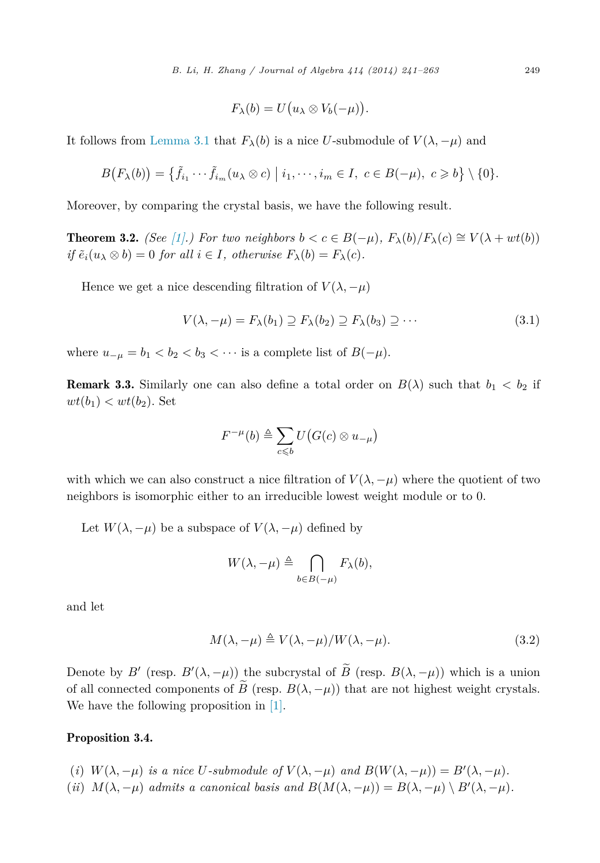$$
F_{\lambda}(b)=U(u_{\lambda}\otimes V_b(-\mu)).
$$

<span id="page-8-0"></span>It follows from [Lemma 3.1](#page-7-0) that  $F_{\lambda}(b)$  is a nice *U*-submodule of  $V(\lambda, -\mu)$  and

$$
B(F_{\lambda}(b)) = \{\tilde{f}_{i_1} \cdots \tilde{f}_{i_m}(u_{\lambda} \otimes c) \mid i_1, \cdots, i_m \in I, \ c \in B(-\mu), \ c \geq b\} \setminus \{0\}.
$$

Moreover, by comparing the crystal basis, we have the following result.

**Theorem 3.2.** (See [\[1\].](#page-22-0)) For two neighbors  $b < c \in B(-\mu)$ ,  $F_{\lambda}(b)/F_{\lambda}(c) \cong V(\lambda + wt(b))$  $if \tilde{e}_i(u_\lambda \otimes b) = 0$  *for all*  $i \in I$ *, otherwise*  $F_\lambda(b) = F_\lambda(c)$ *.* 

Hence we get a nice descending filtration of  $V(\lambda, -\mu)$ 

$$
V(\lambda, -\mu) = F_{\lambda}(b_1) \supseteq F_{\lambda}(b_2) \supseteq F_{\lambda}(b_3) \supseteq \cdots
$$
 (3.1)

where  $u_{-\mu} = b_1 < b_2 < b_3 < \cdots$  is a complete list of  $B(-\mu)$ .

**Remark 3.3.** Similarly one can also define a total order on  $B(\lambda)$  such that  $b_1 < b_2$  if  $wt(b_1) < wt(b_2)$ . Set

$$
F^{-\mu}(b) \triangleq \sum_{c \leq b} U\big(G(c) \otimes u_{-\mu}\big)
$$

with which we can also construct a nice filtration of  $V(\lambda, -\mu)$  where the quotient of two neighbors is isomorphic either to an irreducible lowest weight module or to 0.

Let  $W(\lambda, -\mu)$  be a subspace of  $V(\lambda, -\mu)$  defined by

$$
W(\lambda, -\mu) \triangleq \bigcap_{b \in B(-\mu)} F_{\lambda}(b),
$$

and let

$$
M(\lambda, -\mu) \triangleq V(\lambda, -\mu)/W(\lambda, -\mu). \tag{3.2}
$$

Denote by *B*<sup>'</sup> (resp. *B*<sup>'</sup>( $\lambda$ , −*µ*)) the subcrystal of *B* (resp. *B*( $\lambda$ , −*µ*)) which is a union of all connected components of  $\widetilde{B}$  (resp.  $B(\lambda, -\mu)$ ) that are not highest weight crystals. We have the following proposition in [\[1\].](#page-22-0)

#### Proposition 3.4.

- (i)  $W(\lambda, -\mu)$  is a nice U-submodule of  $V(\lambda, -\mu)$  and  $B(W(\lambda, -\mu)) = B'(\lambda, -\mu)$ .
- (*ii*)  $M(\lambda, -\mu)$  *admits a canonical basis and*  $B(M(\lambda, -\mu)) = B(\lambda, -\mu) \setminus B'(\lambda, -\mu)$ .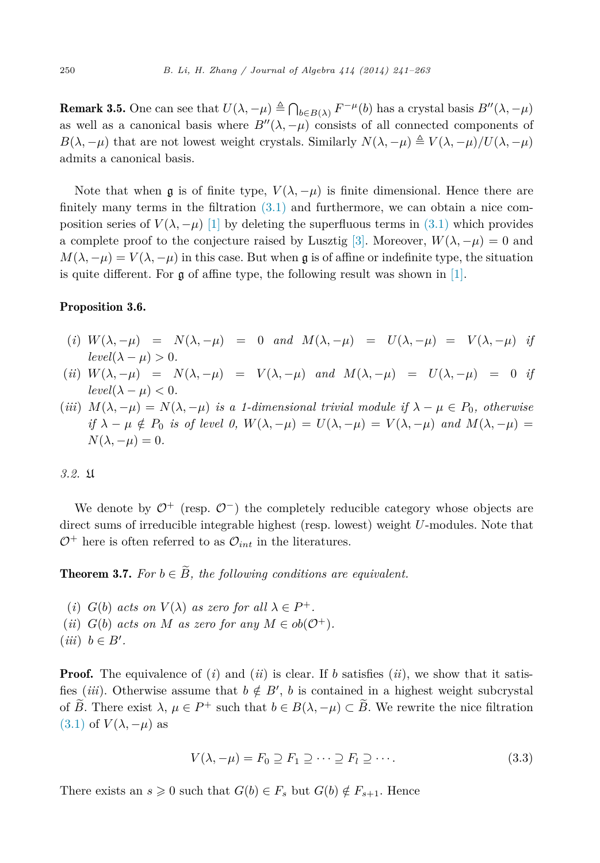<span id="page-9-0"></span>**Remark 3.5.** One can see that  $U(\lambda, -\mu) \triangleq \bigcap_{b \in B(\lambda)} F^{-\mu}(b)$  has a crystal basis  $B''(\lambda, -\mu)$ as well as a canonical basis where  $B''(\lambda, -\mu)$  consists of all connected components of *B*( $\lambda$ , −*μ*) that are not lowest weight crystals. Similarly  $N(\lambda, -\mu) \triangleq V(\lambda, -\mu)/U(\lambda, -\mu)$ admits a canonical basis.

Note that when g is of finite type,  $V(\lambda, -\mu)$  is finite dimensional. Hence there are finitely many terms in the filtration [\(3.1\)](#page-8-0) and furthermore, we can obtain a nice composition series of  $V(\lambda, -\mu)$  [\[1\]](#page-22-0) by deleting the superfluous terms in [\(3.1\)](#page-8-0) which provides a complete proof to the conjecture raised by Lusztig [\[3\].](#page-22-0) Moreover,  $W(\lambda, -\mu) = 0$  and  $M(\lambda, -\mu) = V(\lambda, -\mu)$  in this case. But when g is of affine or indefinite type, the situation is quite different. For  $\mathfrak g$  of affine type, the following result was shown in [\[1\].](#page-22-0)

#### Proposition 3.6.

- (*i*)  $W(\lambda, -\mu) = N(\lambda, -\mu) = 0$  *and*  $M(\lambda, -\mu) = U(\lambda, -\mu) = V(\lambda, -\mu)$  *if*  $level(\lambda - \mu) > 0.$
- (*ii*)  $W(\lambda, -\mu) = N(\lambda, -\mu) = V(\lambda, -\mu)$  and  $M(\lambda, -\mu) = U(\lambda, -\mu) = 0$  *if*  $level(\lambda - \mu) < 0.$
- $(iii)$   $M(\lambda, -\mu) = N(\lambda, -\mu)$  *is a 1-dimensional trivial module if*  $\lambda \mu \in P_0$ , *otherwise if*  $\lambda - \mu \notin P_0$  *is of level 0,*  $W(\lambda, -\mu) = U(\lambda, -\mu) = V(\lambda, -\mu)$  and  $M(\lambda, -\mu) =$  $N(\lambda, -\mu) = 0.$

*3.2.* U

We denote by  $\mathcal{O}^+$  (resp.  $\mathcal{O}^-$ ) the completely reducible category whose objects are direct sums of irreducible integrable highest (resp. lowest) weight *U*-modules. Note that  $\mathcal{O}^+$  here is often referred to as  $\mathcal{O}_{int}$  in the literatures.

**Theorem 3.7.** For  $b \in \widetilde{B}$ , the following conditions are equivalent.

(*i*)  $G(b)$  *acts on*  $V(\lambda)$  *as zero for all*  $\lambda \in P^+$ . (*ii*)  $G(b)$  *acts on*  $M$  *as zero for any*  $M \in ob(\mathcal{O}^+).$  $(iii)$   $b \in B'$ .

Proof. The equivalence of (*i*) and (*ii*) is clear. If *b* satisfies (*ii*), we show that it satisfies *(iii)*. Otherwise assume that  $b \notin B'$ , *b* is contained in a highest weight subcrystal of  $\widetilde{B}$ . There exist  $\lambda, \mu \in P^+$  such that  $b \in B(\lambda, -\mu) \subset \widetilde{B}$ . We rewrite the nice filtration  $(3.1)$  of  $V(\lambda, -\mu)$  as

$$
V(\lambda, -\mu) = F_0 \supseteq F_1 \supseteq \cdots \supseteq F_l \supseteq \cdots. \tag{3.3}
$$

There exists an  $s \geq 0$  such that  $G(b) \in F_s$  but  $G(b) \notin F_{s+1}$ . Hence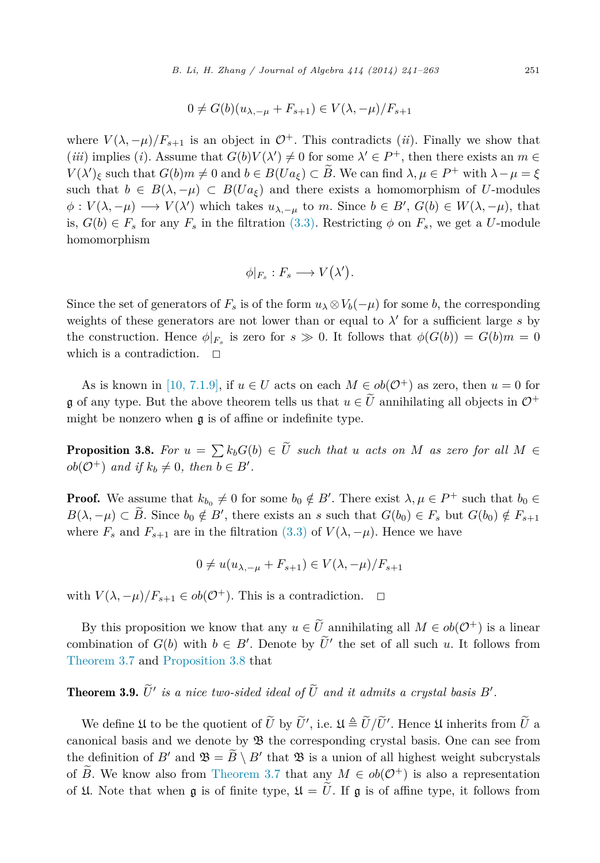$$
0 \neq G(b)(u_{\lambda,-\mu} + F_{s+1}) \in V(\lambda, -\mu)/F_{s+1}
$$

where  $V(\lambda, -\mu)/F_{s+1}$  is an object in  $\mathcal{O}^+$ . This contradicts *(ii)*. Finally we show that  $(iii)$  implies (*i*). Assume that  $G(b)V(\lambda') \neq 0$  for some  $\lambda' \in P^+$ , then there exists an  $m \in$  $V(\lambda')_\xi$  such that  $G(b)m \neq 0$  and  $b \in B(Ua_\xi) \subset B$ . We can find  $\lambda, \mu \in P^+$  with  $\lambda - \mu = \xi$ such that  $b \in B(\lambda, -\mu) \subset B(U_{a_{\xi}})$  and there exists a homomorphism of *U*-modules  $\phi: V(\lambda, -\mu) \longrightarrow V(\lambda')$  which takes  $u_{\lambda, -\mu}$  to *m*. Since  $b \in B'$ ,  $G(b) \in W(\lambda, -\mu)$ , that is,  $G(b) \in F_s$  for any  $F_s$  in the filtration [\(3.3\).](#page-9-0) Restricting  $\phi$  on  $F_s$ , we get a *U*-module homomorphism

$$
\phi|_{F_s}: F_s \longrightarrow V(\lambda').
$$

Since the set of generators of  $F_s$  is of the form  $u_\lambda \otimes V_b(-\mu)$  for some *b*, the corresponding weights of these generators are not lower than or equal to  $\lambda'$  for a sufficient large s by the construction. Hence  $\phi|_{F_s}$  is zero for  $s \gg 0$ . It follows that  $\phi(G(b)) = G(b)m = 0$ which is a contradiction.  $\Box$ 

As is known in [10, [7.1.9\],](#page-22-0) if  $u \in U$  acts on each  $M \in ob(\mathcal{O}^+)$  as zero, then  $u = 0$  for g of any type. But the above theorem tells us that  $u \in \tilde{U}$  annihilating all objects in  $\mathcal{O}^+$ might be nonzero when g is of affine or indefinite type.

**Proposition 3.8.** For  $u = \sum k_b G(b) \in \tilde{U}$  such that *u* acts on *M* as zero for all  $M \in$  $ob(\mathcal{O}^+)$  *and if*  $k_b \neq 0$ *, then*  $b \in B'$ *.* 

**Proof.** We assume that  $k_{b_0} \neq 0$  for some  $b_0 \notin B'$ . There exist  $\lambda, \mu \in P^+$  such that  $b_0 \in$  $B(\lambda, -\mu) \subset B$ . Since  $b_0 \notin B'$ , there exists an *s* such that  $G(b_0) \in F_s$  but  $G(b_0) \notin F_{s+1}$ where  $F_s$  and  $F_{s+1}$  are in the filtration [\(3.3\)](#page-9-0) of  $V(\lambda, -\mu)$ . Hence we have

$$
0 \neq u(u_{\lambda,-\mu} + F_{s+1}) \in V(\lambda, -\mu)/F_{s+1}
$$

with  $V(\lambda, -\mu)/F_{s+1} \in ob(\mathcal{O}^+)$ . This is a contradiction.

By this proposition we know that any  $u \in \tilde{U}$  annihilating all  $M \in ob(\mathcal{O}^+)$  is a linear combination of  $G(b)$  with  $b \in B'$ . Denote by  $U'$  the set of all such *u*. It follows from [Theorem 3.7](#page-9-0) and Proposition 3.8 that

**Theorem 3.9.**  $U'$  is a nice two-sided ideal of  $U$  and it admits a crystal basis  $B'$ .

We define  $\mathfrak U$  to be the quotient of *U* by *U'*, i.e.  $\mathfrak U \triangleq U/U'$ . Hence  $\mathfrak U$  inherits from *U* a canonical basis and we denote by B the corresponding crystal basis. One can see from the definition of *B'* and  $\mathfrak{B} = \overline{B} \setminus B'$  that  $\mathfrak{B}$  is a union of all highest weight subcrystals of  $\widetilde{B}$ . We know also from [Theorem 3.7](#page-9-0) that any  $M \in ob(\mathcal{O}^+)$  is also a representation of  $\mathfrak U$ . Note that when g is of finite type,  $\mathfrak U = \overline U$ . If g is of affine type, it follows from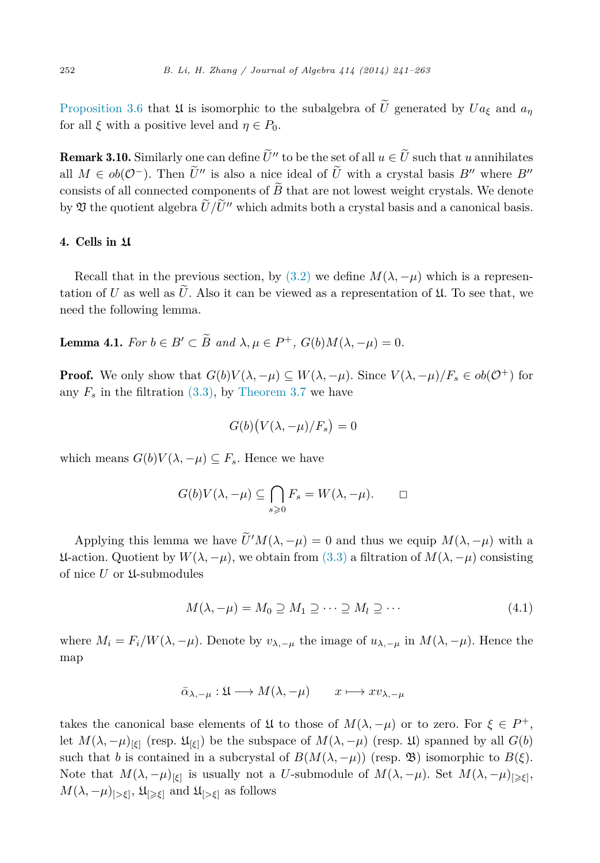<span id="page-11-0"></span>[Proposition 3.6](#page-9-0) that  $\mathfrak U$  is isomorphic to the subalgebra of  $\tilde U$  generated by  $U a_{\xi}$  and  $a_n$ for all  $\xi$  with a positive level and  $\eta \in P_0$ .

**Remark 3.10.** Similarly one can define  $\tilde{U}''$  to be the set of all  $u \in \tilde{U}$  such that *u* annihilates all *M* ∈  $ob(\mathcal{O}^-)$ . Then  $\tilde{U}''$  is also a nice ideal of  $\tilde{U}$  with a crystal basis *B*<sup>*''*</sup> where *B*<sup>*''*</sup> consists of all connected components of  $\widetilde{B}$  that are not lowest weight crystals. We denote by  $\mathfrak V$  the quotient algebra  $\tilde{U}/\tilde{U}''$  which admits both a crystal basis and a canonical basis.

#### 4. Cells in **U**

Recall that in the previous section, by [\(3.2\)](#page-8-0) we define  $M(\lambda, -\mu)$  which is a representation of *U* as well as  $\tilde{U}$ . Also it can be viewed as a representation of *L*. To see that, we need the following lemma.

**Lemma 4.1.** *For*  $b \in B' \subset \widetilde{B}$  *and*  $\lambda, \mu \in P^+$ ,  $G(b)M(\lambda, -\mu) = 0$ .

**Proof.** We only show that  $G(b)V(\lambda, -\mu) \subseteq W(\lambda, -\mu)$ . Since  $V(\lambda, -\mu)/F_s \in ob(\mathcal{O}^+)$  for any  $F_s$  in the filtration  $(3.3)$ , by [Theorem 3.7](#page-9-0) we have

$$
G(b)\big(V(\lambda,-\mu)/F_s\big)=0
$$

which means  $G(b)V(\lambda,-\mu) \subseteq F_s$ . Hence we have

$$
G(b)V(\lambda, -\mu) \subseteq \bigcap_{s \ge 0} F_s = W(\lambda, -\mu). \qquad \Box
$$

Applying this lemma we have  $U'M(\lambda, -\mu) = 0$  and thus we equip  $M(\lambda, -\mu)$  with a U-action. Quotient by *W*(*λ,* −*μ*), we obtain from [\(3.3\)](#page-9-0) a filtration of *M*(*λ,* −*μ*) consisting of nice *U* or U-submodules

$$
M(\lambda, -\mu) = M_0 \supseteq M_1 \supseteq \cdots \supseteq M_l \supseteq \cdots \tag{4.1}
$$

where  $M_i = F_i/W(\lambda, -\mu)$ . Denote by  $v_{\lambda, -\mu}$  the image of  $u_{\lambda, -\mu}$  in  $M(\lambda, -\mu)$ . Hence the map

$$
\bar{\alpha}_{\lambda,-\mu} : \mathfrak{U} \longrightarrow M(\lambda, -\mu) \qquad x \longmapsto xv_{\lambda, -\mu}
$$

takes the canonical base elements of  $\mathfrak{U}$  to those of  $M(\lambda, -\mu)$  or to zero. For  $\xi \in P^+$ , let  $M(\lambda, -\mu)_{[\xi]}$  (resp.  $\mathfrak{U}_{[\xi]}$ ) be the subspace of  $M(\lambda, -\mu)$  (resp.  $\mathfrak{U}$ ) spanned by all  $G(b)$ such that *b* is contained in a subcrystal of  $B(M(\lambda, -\mu))$  (resp.  $\mathfrak{B})$  isomorphic to  $B(\xi)$ . Note that  $M(\lambda, -\mu)_{[\xi]}$  is usually not a *U*-submodule of  $M(\lambda, -\mu)$ . Set  $M(\lambda, -\mu)_{[\geq \xi]},$  $M(\lambda, -\mu)_{[\geq \xi]}, \mathfrak{U}_{[\geq \xi]}$  and  $\mathfrak{U}_{[\geq \xi]}$  as follows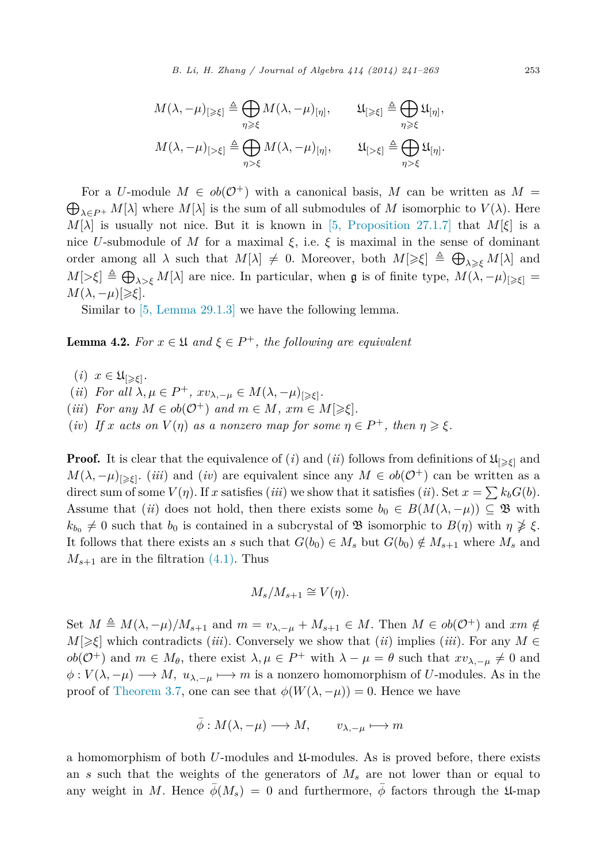<span id="page-12-0"></span>
$$
\begin{aligned} M(\lambda,-\mu)_{[\geqslant\xi]} \triangleq & \bigoplus_{\eta\geqslant\xi}M(\lambda,-\mu)_{[\eta]}, \qquad \mathfrak{U}_{[\geqslant\xi]} \triangleq & \bigoplus_{\eta\geqslant\xi}\mathfrak{U}_{[\eta]},\\ M(\lambda,-\mu)_{[\geqslant\xi]} \triangleq & \bigoplus_{\eta\geqslant\xi}M(\lambda,-\mu)_{[\eta]}, \qquad \mathfrak{U}_{[\geqslant\xi]} \triangleq & \bigoplus_{\eta\geqslant\xi}\mathfrak{U}_{[\eta]}. \end{aligned}
$$

For a *U*-module  $M \in ob(\mathcal{O}^+)$  with a canonical basis, M can be written as  $M =$  $\bigoplus_{\lambda \in P^+} M[\lambda]$  where  $M[\lambda]$  is the sum of all submodules of *M* isomorphic to  $V(\lambda)$ . Here  $M[\lambda]$  is usually not nice. But it is known in [5, [Proposition 27.1.7\]](#page-22-0) that  $M[\xi]$  is a nice *U*-submodule of *M* for a maximal  $\xi$ , i.e.  $\xi$  is maximal in the sense of dominant order among all  $\lambda$  such that  $M[\lambda] \neq 0$ . Moreover, both  $M[\geq \xi] \triangleq \bigoplus_{\lambda \geq \xi} M[\lambda]$  and  $M[\geq \xi] \triangleq \bigoplus_{\lambda \geq \xi} M[\lambda]$  are nice. In particular, when **g** is of finite type,  $M(\lambda, -\mu)_{\in \geq \xi}$  =  $M(\lambda, -\mu)[\geq \xi].$ 

Similar to [5, [Lemma 29.1.3\]](#page-22-0) we have the following lemma.

**Lemma 4.2.** *For*  $x \in \mathfrak{U}$  *and*  $\xi \in P^+$ *, the following are equivalent* 

 $(i)$   $x \in \mathfrak{U}_{\{\geq \xi\}}$ . (*ii*) *For all*  $\lambda, \mu \in P^+, xv_{\lambda, -\mu} \in M(\lambda, -\mu)_{|\geq \xi|}$ . (*iii*) *For any*  $M \in ob(\mathcal{O}^+)$  *and*  $m \in M$ ,  $xm \in M[\geq \xi]$ . (*iv*) If x acts on  $V(\eta)$  as a nonzero map for some  $\eta \in P^+$ , then  $\eta \geq \xi$ .

**Proof.** It is clear that the equivalence of (*i*) and (*ii*) follows from definitions of  $\mathfrak{U}_{\mathfrak{z}}\neq\mathfrak{z}$  and  $M(\lambda, -\mu)_{\leq \xi}$ . (*iii*) and (*iv*) are equivalent since any  $M \in ob(\mathcal{O}^+)$  can be written as a direct sum of some  $V(\eta)$ . If *x* satisfies (*iii*) we show that it satisfies (*ii*). Set  $x = \sum k_b G(b)$ . Assume that (*ii*) does not hold, then there exists some  $b_0 \in B(M(\lambda, -\mu)) \subseteq \mathfrak{B}$  with  $k_{b_0} \neq 0$  such that  $b_0$  is contained in a subcrystal of  $\mathfrak{B}$  isomorphic to  $B(\eta)$  with  $\eta \ngeq \xi$ . It follows that there exists an *s* such that  $G(b_0) \in M_s$  but  $G(b_0) \notin M_{s+1}$  where  $M_s$  and  $M_{s+1}$  are in the filtration  $(4.1)$ . Thus

$$
M_s/M_{s+1} \cong V(\eta).
$$

Set  $M \triangleq M(\lambda, -\mu)/M_{s+1}$  and  $m = v_{\lambda, -\mu} + M_{s+1} \in M$ . Then  $M \in ob(\mathcal{O}^+)$  and  $xm \notin$  $M[\geq \xi]$  which contradicts *(iii)*. Conversely we show that *(ii)* implies *(iii)*. For any  $M \in$  $ob(\mathcal{O}^+)$  and  $m \in M_\theta$ , there exist  $\lambda, \mu \in P^+$  with  $\lambda - \mu = \theta$  such that  $xv_{\lambda, -\mu} \neq 0$  and  $\phi: V(\lambda, -\mu) \longrightarrow M$ ,  $u_{\lambda, -\mu} \longmapsto m$  is a nonzero homomorphism of *U*-modules. As in the proof of [Theorem 3.7,](#page-9-0) one can see that  $\phi(W(\lambda, -\mu)) = 0$ . Hence we have

$$
\bar{\phi}: M(\lambda, -\mu) \longrightarrow M, \qquad v_{\lambda, -\mu} \longmapsto m
$$

a homomorphism of both *U*-modules and U-modules. As is proved before, there exists an *s* such that the weights of the generators of  $M_s$  are not lower than or equal to any weight in *M*. Hence  $\phi(M_s) = 0$  and furthermore,  $\phi$  factors through the U-map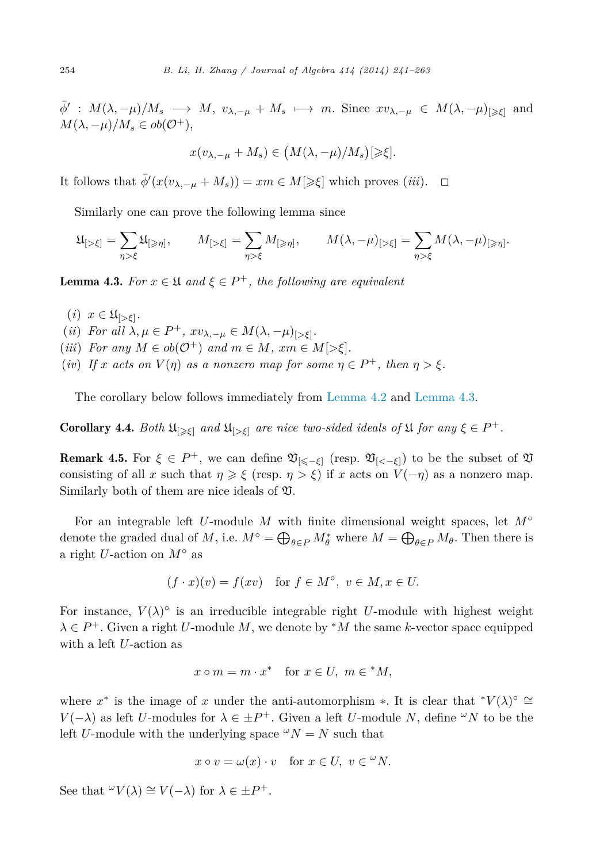<span id="page-13-0"></span> $\bar{\phi}'$  :  $M(\lambda, -\mu)/M_s \longrightarrow M$ ,  $v_{\lambda, -\mu} + M_s \longmapsto m$ . Since  $xv_{\lambda, -\mu} \in M(\lambda, -\mu)_{|\geqslant \xi|}$  and  $M(\lambda, -\mu)/M_s \in ob(\mathcal{O}^+),$ 

$$
x(v_{\lambda,-\mu} + M_s) \in (M(\lambda, -\mu)/M_s)[\geq \xi].
$$

It follows that  $\bar{\phi}'(x(v_{\lambda,-\mu} + M_s)) = xm \in M[\geq \xi]$  which proves (*iii*).  $\Box$ 

Similarly one can prove the following lemma since

$$
\mathfrak{U}_{[\mathbb{m} \xi]} = \sum_{\eta > \xi} \mathfrak{U}_{[\geqslant \eta]}, \qquad M_{[\geqslant \xi]} = \sum_{\eta > \xi} M_{[\geqslant \eta]}, \qquad M(\lambda, -\mu)_{[\geqslant \xi]} = \sum_{\eta > \xi} M(\lambda, -\mu)_{[\geqslant \eta]}.
$$

**Lemma 4.3.** *For*  $x \in \mathfrak{U}$  *and*  $\xi \in P^+$ *, the following are equivalent* 

- $(i)$   $x \in \mathfrak{U}_{\lceil \geq \varepsilon \rceil}$ .
- $(iii)$  *For all*  $\lambda, \mu \in P^+$ ,  $xv_{\lambda,-\mu} \in M(\lambda, -\mu)_{|\geq \xi|}$ .
- (*iii*) *For any*  $M \in ob(\mathcal{O}^+)$  *and*  $m \in M$ ,  $xm \in M[\geq \xi]$ .
- (*iv*) *If x acts on*  $V(\eta)$  *as a nonzero map for some*  $\eta \in P^+$ *, then*  $\eta > \xi$ *.*

The corollary below follows immediately from [Lemma 4.2](#page-12-0) and Lemma 4.3.

**Corollary 4.4.** *Both*  $\mathfrak{U}_{\{\geq \xi\}}$  *and*  $\mathfrak{U}_{\{\geq \xi\}}$  *are nice two-sided ideals of*  $\mathfrak{U}$  *for any*  $\xi \in P^+$ *.* 

**Remark 4.5.** For  $\xi \in P^+$ , we can define  $\mathfrak{V}_{\xi-\xi}$  (resp.  $\mathfrak{V}_{\xi-\xi}$ ) to be the subset of  $\mathfrak V$ consisting of all *x* such that  $\eta \geq \xi$  (resp.  $\eta > \xi$ ) if *x* acts on  $V(-\eta)$  as a nonzero map. Similarly both of them are nice ideals of  $\mathfrak{V}$ .

For an integrable left *U*-module *M* with finite dimensional weight spaces, let *M*◦ denote the graded dual of *M*, i.e.  $M^{\circ} = \bigoplus_{\theta \in P} M_{\theta}^*$  where  $M = \bigoplus_{\theta \in P} M_{\theta}$ . Then there is a right *U*-action on *M*◦ as

$$
(f \cdot x)(v) = f(xv) \quad \text{for } f \in M^{\circ}, \ v \in M, x \in U.
$$

For instance,  $V(\lambda)^\circ$  is an irreducible integrable right *U*-module with highest weight  $\lambda \in P^+$ . Given a right *U*-module *M*, we denote by <sup>\*</sup>*M* the same *k*-vector space equipped with a left *U*-action as

$$
x \circ m = m \cdot x^* \quad \text{for } x \in U, \ m \in {}^*M,
$$

where  $x^*$  is the image of x under the anti-automorphism  $*$ . It is clear that  $^*V(\lambda)$ ° ≃ *V*(- $\lambda$ ) as left *U*-modules for  $\lambda \in \pm P^+$ . Given a left *U*-module *N*, define  $\omega$ *N* to be the left *U*-module with the underlying space  $^{\omega}N = N$  such that

$$
x \circ v = \omega(x) \cdot v \quad \text{for } x \in U, \ v \in {}^{\omega}N.
$$

See that  $\omega V(\lambda) \cong V(-\lambda)$  for  $\lambda \in \pm P^+$ .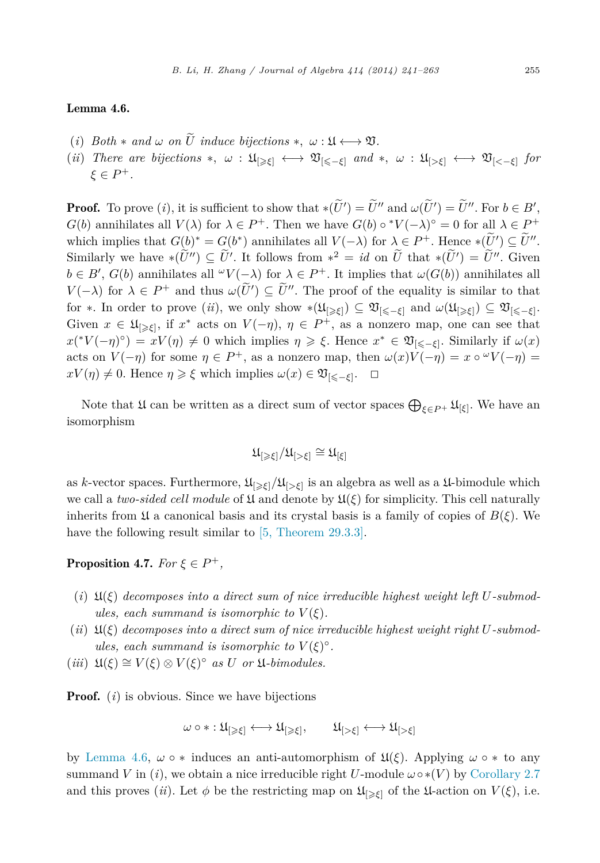#### Lemma 4.6.

- (*i*) *Both*  $*$  *and*  $\omega$  *on*  $\widetilde{U}$  *induce bijections*  $*$ ,  $\omega$  :  $\mathfrak{U} \longleftrightarrow \mathfrak{V}$ .
- $(iii)$  *There are bijections* \*,  $\omega : \mathfrak{U}_{\llbracket \geq \xi \rrbracket} \longleftrightarrow \mathfrak{V}_{\llbracket \leq -\xi \rrbracket}$  *and* \*,  $\omega : \mathfrak{U}_{\llbracket > \xi \rrbracket} \longleftrightarrow \mathfrak{V}_{\llbracket < -\xi \rrbracket}$  *for*  $\xi \in P^+$ *.*

**Proof.** To prove (*i*), it is sufficient to show that  $*(U') = U''$  and  $\omega(U') = U''$ . For  $b \in B'$ , *G*(*b*) annihilates all *V*(*λ*) for  $\lambda \in P^+$ . Then we have  $G(b) \circ {}^*V(-\lambda)^\circ = 0$  for all  $\lambda \in P^+$ which implies that  $G(b)^* = G(b^*)$  annihilates all  $V(-\lambda)$  for  $\lambda \in P^+$ . Hence  $*(U') \subseteq U''$ . Similarly we have  $*(\bar{U}'') \subseteq \bar{U}'$ . It follows from  $*^2 = id$  on  $\bar{U}$  that  $*(\bar{U}') = \bar{U}''$ . Given  $b \in B'$ ,  $G(b)$  annihilates all  $\omega V(-\lambda)$  for  $\lambda \in P^+$ . It implies that  $\omega(G(b))$  annihilates all *V*(−*λ*) for  $\lambda \in P^+$  and thus  $\omega(U') \subseteq U''$ . The proof of the equality is similar to that for \*. In order to prove  $(ii)$ , we only show  $*(\mathfrak{U}_{\llbracket \geqslant \xi \rrbracket}) \subseteq \mathfrak{V}_{\llbracket \leqslant -\xi \rrbracket}$  and  $\omega(\mathfrak{U}_{\llbracket \geqslant \xi \rrbracket}) \subseteq \mathfrak{V}_{\llbracket \leqslant -\xi \rrbracket}$ . Given  $x \in \mathfrak{U}_{\{\geq \xi\}}$ , if  $x^*$  acts on  $V(-\eta)$ ,  $\eta \in P^+$ , as a nonzero map, one can see that  $x(*V(-\eta)°) = xV(\eta) \neq 0$  which implies  $\eta \geq \xi$ . Hence  $x^* \in \mathfrak{V}_{\lfloor \xi - \xi \rfloor}$ . Similarly if  $\omega(x)$ acts on  $V(-\eta)$  for some  $\eta \in P^+$ , as a nonzero map, then  $\omega(x)V(-\eta) = x \circ \omega V(-\eta) =$  $xV(\eta) \neq 0$ . Hence  $\eta \geq \xi$  which implies  $\omega(x) \in \mathfrak{V}_{\{\leq \xi\}}$ .  $\Box$ 

Note that  $\mathfrak{U}$  can be written as a direct sum of vector spaces  $\bigoplus_{\xi \in P^+} \mathfrak{U}_{[\xi]}$ . We have an isomorphism

$$
\mathfrak{U}_{[\geqslant \xi]}/\mathfrak{U}_{[\geqslant \xi]}\cong \mathfrak{U}_{[\xi]}
$$

as *k*-vector spaces. Furthermore,  $\mathfrak{U}_{[\geq \xi]} / \mathfrak{U}_{[\geq \xi]}$  is an algebra as well as a  $\mathfrak{U}$ -bimodule which we call a *two-sided cell module* of  $\mathfrak U$  and denote by  $\mathfrak U(\xi)$  for simplicity. This cell naturally inherits from  $\mathfrak{U}$  a canonical basis and its crystal basis is a family of copies of  $B(\xi)$ . We have the following result similar to [5, [Theorem 29.3.3\].](#page-22-0)

**Proposition 4.7.** *For*  $\xi \in P^+$ *,* 

- $(i)$   $\mathfrak{U}(\xi)$  decomposes into a direct sum of nice irreducible highest weight left U-submod*ules, each summand is isomorphic to*  $V(\xi)$ *.*
- $(iii)$   $\mathfrak{U}(\xi)$  decomposes into a direct sum of nice irreducible highest weight right U-submod*ules, each summand is isomorphic to*  $V(\xi)^\circ$ *.*
- $(iii) \mathfrak{U}(\xi) \cong V(\xi) \otimes V(\xi)^\circ \text{ as } U \text{ or } \mathfrak{U}\text{-bimodules.}$

**Proof.** (*i*) is obvious. Since we have bijections

$$
\omega \circ * : \mathfrak{U}_{[\geqslant \xi]} \longleftrightarrow \mathfrak{U}_{[\geqslant \xi]}, \qquad \mathfrak{U}_{[\geqslant \xi]} \longleftrightarrow \mathfrak{U}_{[\geqslant \xi]}
$$

by Lemma 4.6,  $\omega \circ *$  induces an anti-automorphism of  $\mathfrak{U}(\xi)$ . Applying  $\omega \circ *$  to any summand *V* in (*i*), we obtain a nice irreducible right *U*-module  $\omega \circ \ast$  *(V)* by [Corollary 2.7](#page-6-0) and this proves (*ii*). Let  $\phi$  be the restricting map on  $\mathfrak{U}_{\{\geq \xi\}}$  of the U-action on  $V(\xi)$ , i.e.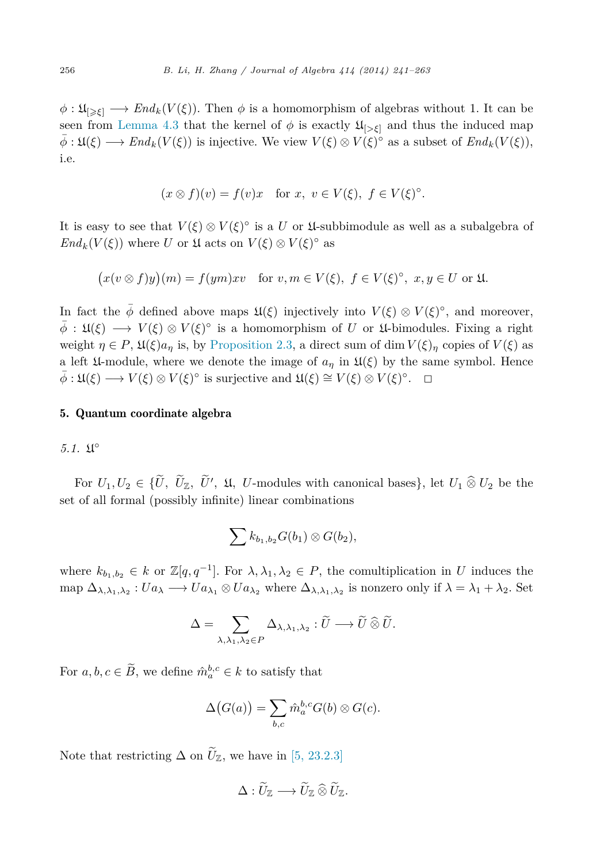<span id="page-15-0"></span> $\phi: \mathfrak{U}_{\mathfrak{g}} \longrightarrow End_k(V(\xi))$ . Then  $\phi$  is a homomorphism of algebras without 1. It can be seen from [Lemma 4.3](#page-13-0) that the kernel of  $\phi$  is exactly  $\mathfrak{U}_{[\geq \xi]}$  and thus the induced map  $\bar{\phi}$  :  $\mathfrak{U}(\xi) \longrightarrow End_k(V(\xi))$  is injective. We view  $V(\xi) \otimes V(\xi)$ <sup>°</sup> as a subset of  $End_k(V(\xi))$ , i.e.

$$
(x \otimes f)(v) = f(v)x
$$
 for  $x, v \in V(\xi), f \in V(\xi)^{\circ}$ .

It is easy to see that  $V(\xi) \otimes V(\xi)$ <sup>o</sup> is a *U* or  $\mathfrak{U}$ -subbimodule as well as a subalgebra of *End*<sub>*k*</sub>( $V(\xi)$ ) where *U* or  $\mathfrak{U}$  acts on  $V(\xi) \otimes V(\xi)$ <sup>°</sup> as

$$
(x(v \otimes f)y)(m) = f(ym)xv \text{ for } v, m \in V(\xi), f \in V(\xi)^{\circ}, x, y \in U \text{ or } \mathfrak{U}.
$$

In fact the  $\bar{\phi}$  defined above maps  $\mathfrak{U}(\xi)$  injectively into  $V(\xi) \otimes V(\xi)$ <sup>°</sup>, and moreover,  $\bar{\phi}$ :  $\mathfrak{U}(\xi) \longrightarrow V(\xi) \otimes V(\xi)$ ° is a homomorphism of *U* or  $\mathfrak{U}$ -bimodules. Fixing a right weight  $\eta \in P$ ,  $\mathfrak{U}(\xi)a_{\eta}$  is, by [Proposition 2.3,](#page-5-0) a direct sum of dim  $V(\xi)_{\eta}$  copies of  $V(\xi)$  as a left  $\mathfrak{U}\text{-module}$ , where we denote the image of  $a_{\eta}$  in  $\mathfrak{U}(\xi)$  by the same symbol. Hence  $\overline{\phi}$ :  $\mathfrak{U}(\xi) \longrightarrow V(\xi) \otimes V(\xi)$ ° is surjective and  $\mathfrak{U}(\xi) \cong V(\xi) \otimes V(\xi)$ °.  $\Box$ 

#### 5. Quantum coordinate algebra

### *5.1.* U◦

For  $U_1, U_2 \in \{U, U_{\mathbb{Z}}, U', \mathfrak{U}, U$ -modules with canonical bases}, let  $U_1 \otimes U_2$  be the set of all formal (possibly infinite) linear combinations

$$
\sum k_{b_1,b_2}G(b_1)\otimes G(b_2),
$$

where  $k_{b_1,b_2} \in k$  or  $\mathbb{Z}[q,q^{-1}]$ . For  $\lambda, \lambda_1, \lambda_2 \in P$ , the comultiplication in *U* induces the map  $\Delta_{\lambda,\lambda_1,\lambda_2}: U_{\alpha\lambda} \longrightarrow U_{\alpha\lambda_1} \otimes U_{\alpha\lambda_2}$  where  $\Delta_{\lambda,\lambda_1,\lambda_2}$  is nonzero only if  $\lambda = \lambda_1 + \lambda_2$ . Set

$$
\Delta = \sum_{\lambda,\lambda_1,\lambda_2 \in P} \Delta_{\lambda,\lambda_1,\lambda_2} : \widetilde{U} \longrightarrow \widetilde{U} \mathbin{\widehat{\otimes}} \widetilde{U}.
$$

For  $a, b, c \in \overline{B}$ , we define  $\hat{m}_a^{b,c} \in k$  to satisfy that

$$
\Delta\big(G(a)\big) = \sum_{b,c} \hat{m}_a^{b,c} G(b) \otimes G(c).
$$

Note that restricting  $\Delta$  on  $\tilde{U}_{\mathbb{Z}}$ , we have in [5, [23.2.3\]](#page-22-0)

$$
\Delta: \widetilde{U}_{\mathbb{Z}} \longrightarrow \widetilde{U}_{\mathbb{Z}} \widehat{\otimes} \widetilde{U}_{\mathbb{Z}}.
$$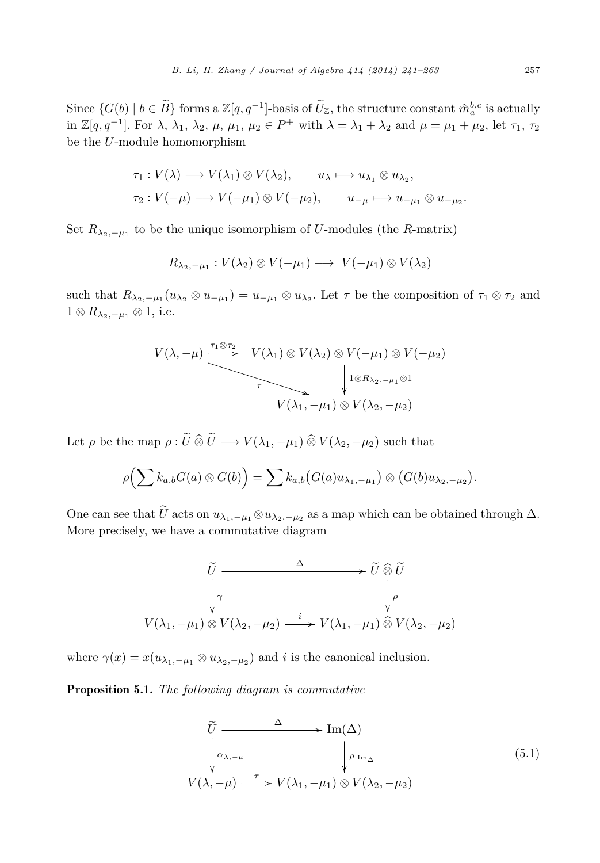<span id="page-16-0"></span>Since  $\{G(b) \mid b \in B\}$  forms a  $\mathbb{Z}[q, q^{-1}]$ -basis of  $U_{\mathbb{Z}}$ , the structure constant  $\hat{m}_a^{b,c}$  is actually in  $\mathbb{Z}[q, q^{-1}]$ . For  $\lambda$ ,  $\lambda_1$ ,  $\lambda_2$ ,  $\mu$ ,  $\mu_1$ ,  $\mu_2 \in P^+$  with  $\lambda = \lambda_1 + \lambda_2$  and  $\mu = \mu_1 + \mu_2$ , let  $\tau_1$ ,  $\tau_2$ be the *U*-module homomorphism

$$
\tau_1: V(\lambda) \longrightarrow V(\lambda_1) \otimes V(\lambda_2), \qquad u_{\lambda} \longmapsto u_{\lambda_1} \otimes u_{\lambda_2},
$$
  

$$
\tau_2: V(-\mu) \longrightarrow V(-\mu_1) \otimes V(-\mu_2), \qquad u_{-\mu} \longmapsto u_{-\mu_1} \otimes u_{-\mu_2}.
$$

Set  $R_{\lambda_2,-\mu_1}$  to be the unique isomorphism of *U*-modules (the *R*-matrix)

$$
R_{\lambda_2,-\mu_1}: V(\lambda_2) \otimes V(-\mu_1) \longrightarrow V(-\mu_1) \otimes V(\lambda_2)
$$

such that  $R_{\lambda_2,-\mu_1}(u_{\lambda_2} \otimes u_{-\mu_1}) = u_{-\mu_1} \otimes u_{\lambda_2}$ . Let  $\tau$  be the composition of  $\tau_1 \otimes \tau_2$  and  $1 \otimes R_{\lambda_2,-\mu_1} \otimes 1$ , i.e.

$$
V(\lambda, -\mu) \xrightarrow{\tau_1 \otimes \tau_2} V(\lambda_1) \otimes V(\lambda_2) \otimes V(-\mu_1) \otimes V(-\mu_2)
$$
\n
$$
\downarrow 1 \otimes R_{\lambda_2, -\mu_1} \otimes 1
$$
\n
$$
V(\lambda_1, -\mu_1) \otimes V(\lambda_2, -\mu_2)
$$

Let *ρ* be the map  $\rho : \tilde{U} \widehat{\otimes} \tilde{U} \longrightarrow V(\lambda_1, -\mu_1) \widehat{\otimes} V(\lambda_2, -\mu_2)$  such that

$$
\rho\Bigl(\sum k_{a,b}G(a)\otimes G(b)\Bigr)=\sum k_{a,b}\bigl(G(a)u_{\lambda_1,-\mu_1}\bigr)\otimes \bigl(G(b)u_{\lambda_2,-\mu_2}\bigr).
$$

One can see that  $\widetilde{U}$  acts on  $u_{\lambda_1,-\mu_1} \otimes u_{\lambda_2,-\mu_2}$  as a map which can be obtained through  $\Delta$ . More precisely, we have a commutative diagram

$$
\widetilde{U} \longrightarrow \widetilde{U} \widehat{\otimes} \widetilde{U}
$$
\n
$$
\downarrow \gamma
$$
\n
$$
V(\lambda_1, -\mu_1) \otimes V(\lambda_2, -\mu_2) \longrightarrow V(\lambda_1, -\mu_1) \widehat{\otimes} V(\lambda_2, -\mu_2)
$$

where  $\gamma(x) = x(u_{\lambda_1, -\mu_1} \otimes u_{\lambda_2, -\mu_2})$  and *i* is the canonical inclusion.

Proposition 5.1. *The following diagram is commutative*

$$
\widetilde{U} \xrightarrow{\Delta} \operatorname{Im}(\Delta)
$$
\n
$$
\begin{cases}\n\alpha_{\lambda,-\mu} & \downarrow \rho|_{\operatorname{Im}_{\Delta}} \\
V(\lambda,-\mu) \xrightarrow{\tau} V(\lambda_1,-\mu_1) \otimes V(\lambda_2,-\mu_2)\n\end{cases}
$$
\n(5.1)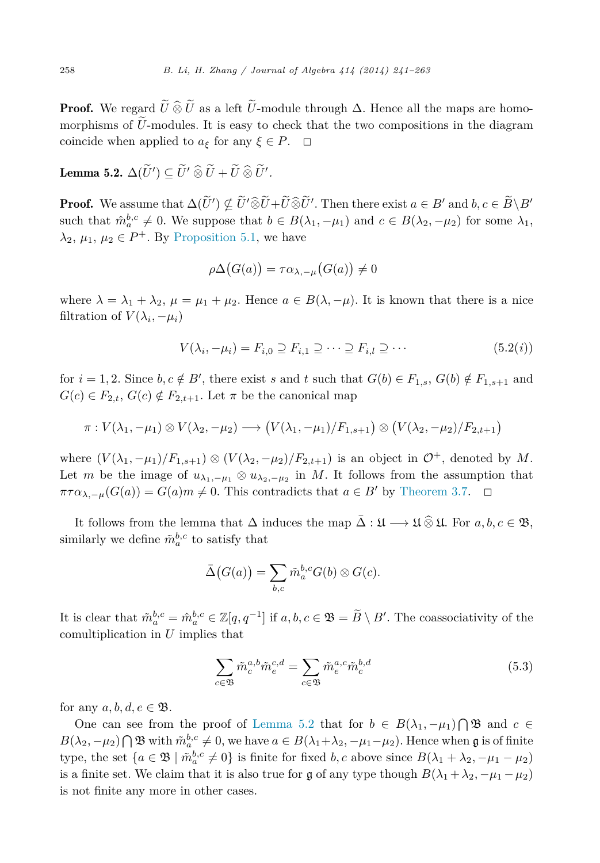<span id="page-17-0"></span>**Proof.** We regard  $\widetilde{U} \widehat{\otimes} \widetilde{U}$  as a left  $\widetilde{U}$ -module through  $\Delta$ . Hence all the maps are homomorphisms of U-modules. It is easy to check that the two compositions in the diagram coincide when applied to  $a_{\xi}$  for any  $\xi \in P$ .  $\Box$ 

 $\mathbf{Lemma 5.2.} \Delta(U') \subseteq U' \otimes U + U \otimes U'.$ 

**Proof.** We assume that  $\Delta(U') \nsubseteq U' \otimes U + U \otimes U'$ . Then there exist  $a \in B'$  and  $b, c \in B \setminus B'$ such that  $\hat{m}_a^{b,c} \neq 0$ . We suppose that  $b \in B(\lambda_1, -\mu_1)$  and  $c \in B(\lambda_2, -\mu_2)$  for some  $\lambda_1$ ,  $\lambda_2, \mu_1, \mu_2 \in P^+$ . By [Proposition 5.1,](#page-16-0) we have

$$
\rho\Delta\big(G(a)\big)=\tau\alpha_{\lambda,-\mu}\big(G(a)\big)\neq 0
$$

where  $\lambda = \lambda_1 + \lambda_2$ ,  $\mu = \mu_1 + \mu_2$ . Hence  $a \in B(\lambda, -\mu)$ . It is known that there is a nice filtration of  $V(\lambda_i, -\mu_i)$ 

$$
V(\lambda_i, -\mu_i) = F_{i,0} \supseteq F_{i,1} \supseteq \cdots \supseteq F_{i,l} \supseteq \cdots \tag{5.2(i)}
$$

for  $i = 1, 2$ . Since  $b, c \notin B'$ , there exist *s* and *t* such that  $G(b) \in F_{1,s}$ ,  $G(b) \notin F_{1,s+1}$  and  $G(c) \in F_{2,t}$ ,  $G(c) \notin F_{2,t+1}$ . Let  $\pi$  be the canonical map

$$
\pi: V(\lambda_1, -\mu_1) \otimes V(\lambda_2, -\mu_2) \longrightarrow (V(\lambda_1, -\mu_1)/F_{1,s+1}) \otimes (V(\lambda_2, -\mu_2)/F_{2,t+1})
$$

where  $(V(\lambda_1, -\mu_1)/F_{1,s+1}) \otimes (V(\lambda_2, -\mu_2)/F_{2,t+1})$  is an object in  $\mathcal{O}^+$ , denoted by M. Let *m* be the image of  $u_{\lambda_1,-\mu_1} \otimes u_{\lambda_2,-\mu_2}$  in *M*. It follows from the assumption that  $\pi \tau \alpha_{\lambda,-\mu}(G(a)) = G(a)m \neq 0$ . This contradicts that  $a \in B'$  by [Theorem 3.7.](#page-9-0)  $\Box$ 

It follows from the lemma that  $\Delta$  induces the map  $\bar{\Delta} : \mathfrak{U} \longrightarrow \mathfrak{U} \widehat{\otimes} \mathfrak{U}$ . For  $a, b, c \in \mathfrak{B}$ , similarly we define  $\tilde{m}_a^{b,c}$  to satisfy that

$$
\bar{\Delta}(G(a)) = \sum_{b,c} \tilde{m}_a^{b,c} G(b) \otimes G(c).
$$

It is clear that  $\tilde{m}_a^{b,c} = \hat{m}_a^{b,c} \in \mathbb{Z}[q, q^{-1}]$  if  $a, b, c \in \mathfrak{B} = B \setminus B'$ . The coassociativity of the comultiplication in *U* implies that

$$
\sum_{c \in \mathfrak{B}} \tilde{m}_c^{a,b} \tilde{m}_e^{c,d} = \sum_{c \in \mathfrak{B}} \tilde{m}_e^{a,c} \tilde{m}_c^{b,d} \tag{5.3}
$$

for any  $a, b, d, e \in \mathfrak{B}$ .

One can see from the proof of Lemma 5.2 that for  $b \in B(\lambda_1, -\mu_1) \cap \mathfrak{B}$  and  $c \in$  $B(\lambda_2, -\mu_2) \bigcap \mathfrak{B}$  with  $\tilde{m}_a^{b,c} \neq 0$ , we have  $a \in B(\lambda_1 + \lambda_2, -\mu_1 - \mu_2)$ . Hence when g is of finite type, the set  $\{a \in \mathfrak{B} \mid \tilde{m}_a^{b,c} \neq 0\}$  is finite for fixed *b,c* above since  $B(\lambda_1 + \lambda_2, -\mu_1 - \mu_2)$ is a finite set. We claim that it is also true for g of any type though  $B(\lambda_1 + \lambda_2, -\mu_1 - \mu_2)$ is not finite any more in other cases.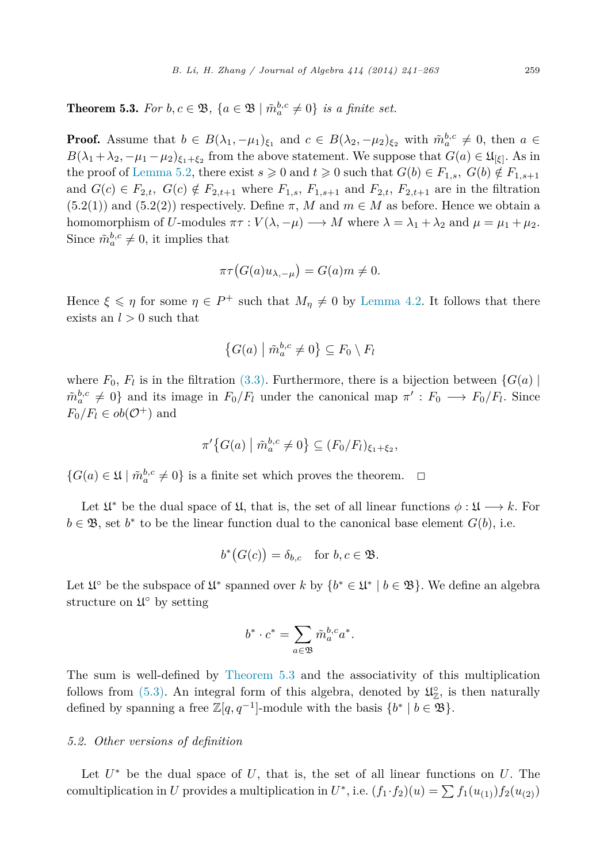<span id="page-18-0"></span>**Theorem 5.3.** For  $b, c \in \mathfrak{B}$ ,  $\{a \in \mathfrak{B} \mid \tilde{m}_a^{b,c} \neq 0\}$  is a finite set.

**Proof.** Assume that  $b \in B(\lambda_1, -\mu_1)_{\xi_1}$  and  $c \in B(\lambda_2, -\mu_2)_{\xi_2}$  with  $\tilde{m}_a^{b,c} \neq 0$ , then  $a \in$  $B(\lambda_1 + \lambda_2, -\mu_1 - \mu_2)_{\xi_1 + \xi_2}$  from the above statement. We suppose that  $G(a) \in \mathfrak{U}_{[\xi]}$ . As in the proof of [Lemma 5.2,](#page-17-0) there exist  $s \ge 0$  and  $t \ge 0$  such that  $G(b) \in F_{1,s}$ ,  $G(b) \notin F_{1,s+1}$ and  $G(c) \in F_{2,t}$ ,  $G(c) \notin F_{2,t+1}$  where  $F_{1,s}$ ,  $F_{1,s+1}$  and  $F_{2,t}$ ,  $F_{2,t+1}$  are in the filtration  $(5.2(1))$  and  $(5.2(2))$  respectively. Define  $\pi$ , *M* and  $m \in M$  as before. Hence we obtain a homomorphism of *U*-modules  $\pi \tau : V(\lambda, -\mu) \longrightarrow M$  where  $\lambda = \lambda_1 + \lambda_2$  and  $\mu = \mu_1 + \mu_2$ . Since  $\tilde{m}_a^{b,c} \neq 0$ , it implies that

$$
\pi\tau\big(G(a)u_{\lambda,-\mu}\big)=G(a)m\neq 0.
$$

Hence  $\xi \leq \eta$  for some  $\eta \in P^+$  such that  $M_\eta \neq 0$  by [Lemma 4.2.](#page-12-0) It follows that there exists an  $l > 0$  such that

$$
\{G(a) \mid \tilde{m}_a^{b,c} \neq 0\} \subseteq F_0 \setminus F_l
$$

where  $F_0$ ,  $F_l$  is in the filtration [\(3.3\).](#page-9-0) Furthermore, there is a bijection between  $\{G(a) \mid$  $\tilde{m}_a^{b,c} \neq 0$ } and its image in  $F_0/F_l$  under the canonical map  $\pi' : F_0 \longrightarrow F_0/F_l$ . Since  $F_0/F_l \in ob(\mathcal{O}^+)$  and

$$
\pi'\big\{G(a)\;\big|\;\tilde{m}_a^{b,c}\neq 0\big\}\subseteq (F_0/F_l)_{\xi_1+\xi_2},
$$

 ${G(a) \in \mathfrak{U} \mid \tilde{m}_a^{b,c} \neq 0}$  is a finite set which proves the theorem.  $\Box$ 

Let  $\mathfrak{U}^*$  be the dual space of  $\mathfrak{U}$ , that is, the set of all linear functions  $\phi : \mathfrak{U} \longrightarrow k$ . For  $b \in \mathfrak{B}$ , set  $b^*$  to be the linear function dual to the canonical base element  $G(b)$ , i.e.

$$
b^*\big(G(c)\big)=\delta_{b,c} \quad \text{for } b,c \in \mathfrak{B}.
$$

Let  $\mathfrak{U}^\circ$  be the subspace of  $\mathfrak{U}^*$  spanned over *k* by  $\{b^* \in \mathfrak{U}^* \mid b \in \mathfrak{B}\}\.$  We define an algebra structure on  $\mathfrak{U}^{\circ}$  by setting

$$
b^* \cdot c^* = \sum_{a \in \mathfrak{B}} \tilde{m}_a^{b,c} a^*.
$$

The sum is well-defined by Theorem 5.3 and the associativity of this multiplication follows from [\(5.3\).](#page-17-0) An integral form of this algebra, denoted by  $\mathfrak{U}^{\circ}_{\mathbb{Z}}$ , is then naturally defined by spanning a free  $\mathbb{Z}[q, q^{-1}]$ -module with the basis  $\{b^* \mid b \in \mathfrak{B}\}.$ 

#### *5.2. Other versions of definition*

Let  $U^*$  be the dual space of  $U$ , that is, the set of all linear functions on  $U$ . The comultiplication in *U* provides a multiplication in  $U^*$ , i.e.  $(f_1 \cdot f_2)(u) = \sum f_1(u_{(1)}) f_2(u_{(2)})$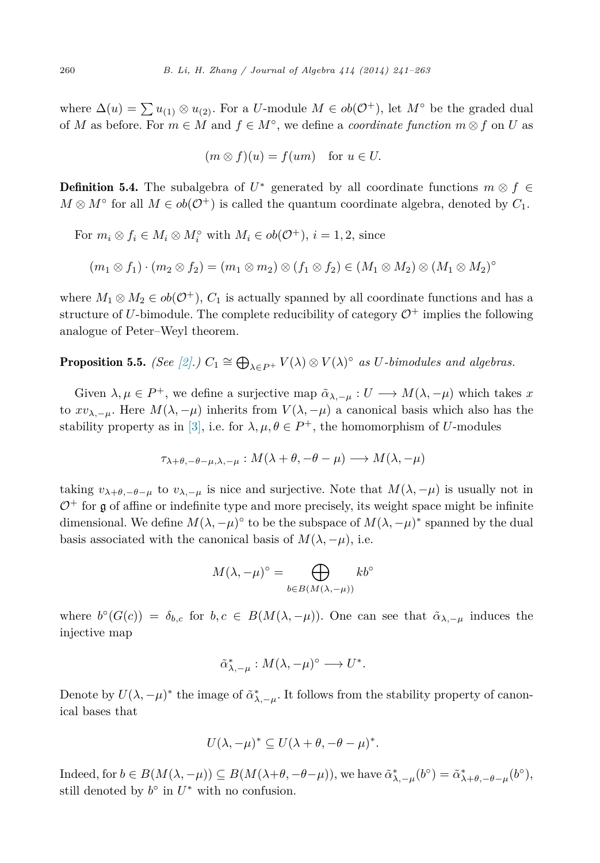where  $\Delta(u) = \sum u_{(1)} \otimes u_{(2)}$ . For a *U*-module  $M \in ob(\mathcal{O}^+)$ , let  $M^{\circ}$  be the graded dual of *M* as before. For  $m \in M$  and  $f \in M^{\circ}$ , we define a *coordinate function*  $m \otimes f$  on *U* as

$$
(m \otimes f)(u) = f(um) \text{ for } u \in U.
$$

**Definition 5.4.** The subalgebra of  $U^*$  generated by all coordinate functions  $m \otimes f \in$  $M \otimes M^{\circ}$  for all  $M \in ob(\mathcal{O}^+)$  is called the quantum coordinate algebra, denoted by  $C_1$ .

For  $m_i \otimes f_i \in M_i \otimes M_i^{\circ}$  with  $M_i \in ob(\mathcal{O}^+), i = 1, 2$ , since

$$
(m_1 \otimes f_1) \cdot (m_2 \otimes f_2) = (m_1 \otimes m_2) \otimes (f_1 \otimes f_2) \in (M_1 \otimes M_2) \otimes (M_1 \otimes M_2)^{\circ}
$$

where  $M_1 \otimes M_2 \in ob(\mathcal{O}^+), C_1$  is actually spanned by all coordinate functions and has a structure of *U*-bimodule. The complete reducibility of category  $\mathcal{O}^+$  implies the following analogue of Peter–Weyl theorem.

**Proposition 5.5.** *(See [\[2\].](#page-22-0))*  $C_1 \cong \bigoplus_{\lambda \in P^+} V(\lambda) \otimes V(\lambda)$ <sup>°</sup> *as U-bimodules and algebras.* 

Given  $\lambda, \mu \in P^+$ , we define a surjective map  $\tilde{\alpha}_{\lambda,-\mu}: U \longrightarrow M(\lambda, -\mu)$  which takes *x* to  $xv_{\lambda,-\mu}$ . Here  $M(\lambda,-\mu)$  inherits from  $V(\lambda,-\mu)$  a canonical basis which also has the stability property as in [\[3\],](#page-22-0) i.e. for  $\lambda, \mu, \theta \in P^+$ , the homomorphism of *U*-modules

$$
\tau_{\lambda+\theta,-\theta-\mu,\lambda,-\mu}:M(\lambda+\theta,-\theta-\mu)\longrightarrow M(\lambda,-\mu)
$$

taking  $v_{\lambda+\theta,-\theta-\mu}$  to  $v_{\lambda,-\mu}$  is nice and surjective. Note that  $M(\lambda,-\mu)$  is usually not in  $\mathcal{O}^+$  for g of affine or indefinite type and more precisely, its weight space might be infinite dimensional. We define  $M(\lambda, -\mu)^\circ$  to be the subspace of  $M(\lambda, -\mu)^*$  spanned by the dual basis associated with the canonical basis of  $M(\lambda, -\mu)$ , i.e.

$$
M(\lambda,-\mu)^\circ = \bigoplus_{b \in B(M(\lambda,-\mu))} k b^\circ
$$

where  $b^{\circ}(G(c)) = \delta_{b,c}$  for  $b, c \in B(M(\lambda, -\mu))$ . One can see that  $\tilde{\alpha}_{\lambda, -\mu}$  induces the injective map

$$
\tilde{\alpha}_{\lambda,-\mu}^* : M(\lambda, -\mu)^{\circ} \longrightarrow U^*.
$$

Denote by  $U(\lambda, -\mu)^*$  the image of  $\tilde{\alpha}^*_{\lambda, -\mu}$ . It follows from the stability property of canonical bases that

$$
U(\lambda,-\mu)^* \subseteq U(\lambda+\theta,-\theta-\mu)^*.
$$

Indeed, for  $b \in B(M(\lambda, -\mu)) \subseteq B(M(\lambda + \theta, -\theta - \mu))$ , we have  $\tilde{\alpha}^*_{\lambda, -\mu}(b^{\circ}) = \tilde{\alpha}^*_{\lambda + \theta, -\theta - \mu}(b^{\circ}),$ still denoted by  $b^\circ$  in  $U^*$  with no confusion.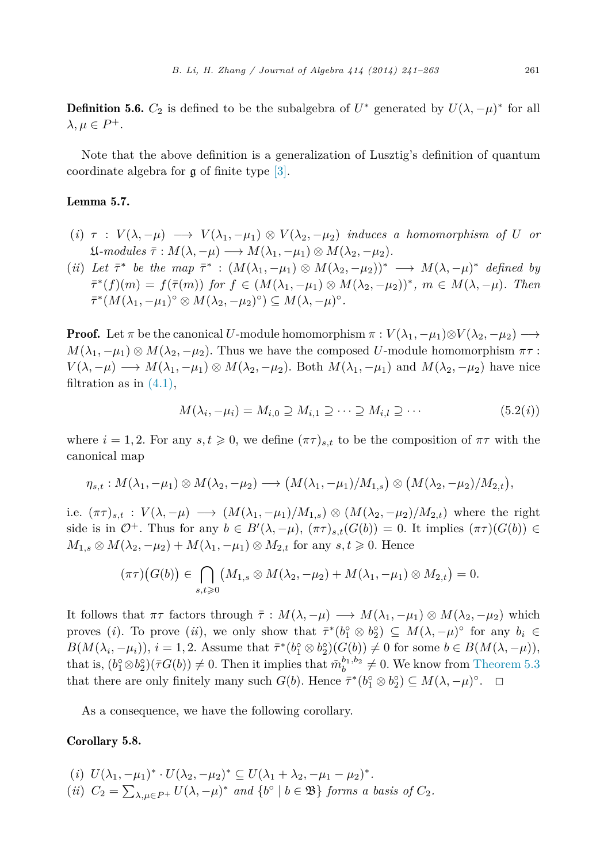<span id="page-20-0"></span>**Definition 5.6.**  $C_2$  is defined to be the subalgebra of  $U^*$  generated by  $U(\lambda, -\mu)^*$  for all  $λ, μ \in P^+$ .

Note that the above definition is a generalization of Lusztig's definition of quantum coordinate algebra for g of finite type [\[3\].](#page-22-0)

#### Lemma 5.7.

- $(i)$   $\tau : V(\lambda, -\mu) \longrightarrow V(\lambda_1, -\mu_1) \otimes V(\lambda_2, -\mu_2)$  *induces* a *homomorphism* of *U* or  $\mathfrak{U}\text{-}modules\ \bar{\tau}: M(\lambda, -\mu) \longrightarrow M(\lambda_1, -\mu_1) \otimes M(\lambda_2, -\mu_2).$
- (*ii*) Let  $\bar{\tau}^*$  be the map  $\bar{\tau}^*$ :  $(M(\lambda_1, -\mu_1) \otimes M(\lambda_2, -\mu_2))^* \longrightarrow M(\lambda, -\mu)^*$  defined by  $\bar{\tau}^*(f)(m) = f(\bar{\tau}(m))$  for  $f \in (M(\lambda_1, -\mu_1) \otimes M(\lambda_2, -\mu_2))^*$ ,  $m \in M(\lambda, -\mu)$ . Then  $\overline{\tau}^*(M(\lambda_1, -\mu_1)^\circ \otimes M(\lambda_2, -\mu_2)^\circ) \subseteq M(\lambda, -\mu)^\circ$ .

**Proof.** Let  $\pi$  be the canonical *U*-module homomorphism  $\pi : V(\lambda_1, -\mu_1) \otimes V(\lambda_2, -\mu_2) \longrightarrow$  $M(\lambda_1, -\mu_1) \otimes M(\lambda_2, -\mu_2)$ . Thus we have the composed *U*-module homomorphism  $\pi \tau$ :  $V(\lambda, -\mu) \longrightarrow M(\lambda_1, -\mu_1) \otimes M(\lambda_2, -\mu_2)$ . Both  $M(\lambda_1, -\mu_1)$  and  $M(\lambda_2, -\mu_2)$  have nice filtration as in  $(4.1)$ ,

$$
M(\lambda_i, -\mu_i) = M_{i,0} \supseteq M_{i,1} \supseteq \cdots \supseteq M_{i,l} \supseteq \cdots \tag{5.2(i)}
$$

where  $i = 1, 2$ . For any  $s, t \geq 0$ , we define  $(\pi \tau)_{s,t}$  to be the composition of  $\pi \tau$  with the canonical map

$$
\eta_{s,t}: M(\lambda_1,-\mu_1)\otimes M(\lambda_2,-\mu_2)\longrightarrow \big(M(\lambda_1,-\mu_1)/M_{1,s}\big)\otimes \big(M(\lambda_2,-\mu_2)/M_{2,t}\big),
$$

i.e.  $(\pi \tau)_{s,t} : V(\lambda, -\mu) \longrightarrow (M(\lambda_1, -\mu_1)/M_{1,s}) \otimes (M(\lambda_2, -\mu_2)/M_{2,t})$  where the right side is in  $\mathcal{O}^+$ . Thus for any  $b \in B'(\lambda, -\mu)$ ,  $(\pi \tau)_{s,t}(G(b)) = 0$ . It implies  $(\pi \tau)(G(b)) \in$  $M_{1,s} \otimes M(\lambda_2, -\mu_2) + M(\lambda_1, -\mu_1) \otimes M_{2,t}$  for any  $s, t \geq 0$ . Hence

$$
(\pi\tau)(G(b))\in \bigcap_{s,t\geqslant 0} (M_{1,s}\otimes M(\lambda_2,-\mu_2)+M(\lambda_1,-\mu_1)\otimes M_{2,t})=0.
$$

It follows that  $\pi \tau$  factors through  $\bar{\tau}$  :  $M(\lambda, -\mu) \longrightarrow M(\lambda_1, -\mu_1) \otimes M(\lambda_2, -\mu_2)$  which proves (*i*). To prove (*ii*), we only show that  $\bar{\tau}^*(b_1^{\circ} \otimes b_2^{\circ}) \subseteq M(\lambda, -\mu)^{\circ}$  for any  $b_i \in$  $B(M(\lambda_i, -\mu_i))$ ,  $i = 1, 2$ . Assume that  $\bar{\tau}^*(b_1^{\circ} \otimes b_2^{\circ})$  $(G(b)) \neq 0$  for some  $b \in B(M(\lambda, -\mu))$ , that is,  $(b_1^{\circ} \otimes b_2^{\circ}) (\bar{\tau}G(b)) \neq 0$ . Then it implies that  $\tilde{m}_b^{b_1,b_2} \neq 0$ . We know from [Theorem 5.3](#page-18-0) that there are only finitely many such  $G(b)$ . Hence  $\bar{\tau}^*(b_1^{\circ} \otimes b_2^{\circ}) \subseteq M(\lambda, -\mu)^{\circ}$ .  $\Box$ 

As a consequence, we have the following corollary.

#### Corollary 5.8.

- $(i) U(\lambda_1, -\mu_1)^* \cdot U(\lambda_2, -\mu_2)^* \subseteq U(\lambda_1 + \lambda_2, -\mu_1 \mu_2)^*.$
- (*ii*)  $C_2 = \sum_{\lambda,\mu \in P^+} U(\lambda, -\mu)^*$  *and*  $\{b^\circ \mid b \in \mathfrak{B}\}\$  *forms a basis of*  $C_2$ *.*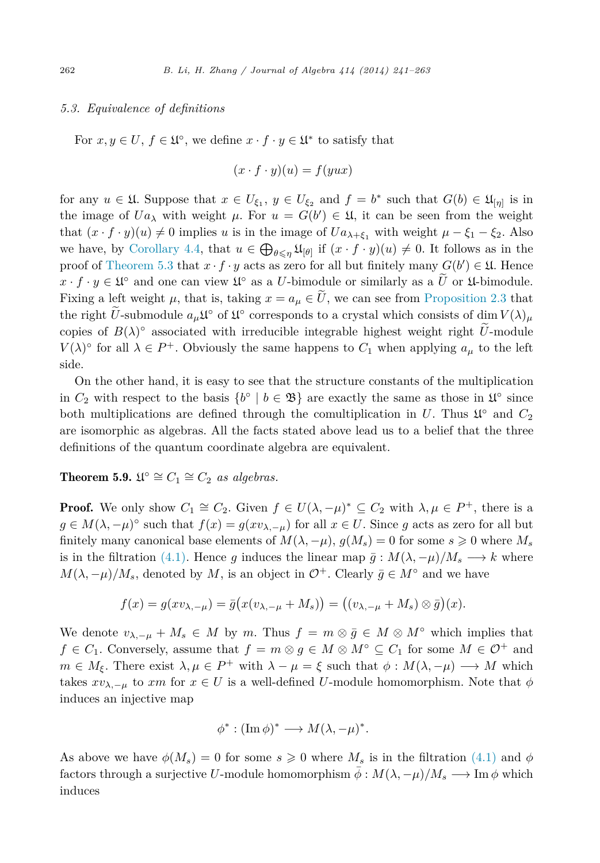#### <span id="page-21-0"></span>*5.3. Equivalence of definitions*

For  $x, y \in U$ ,  $f \in \mathfrak{U}^{\circ}$ , we define  $x \cdot f \cdot y \in \mathfrak{U}^*$  to satisfy that

$$
(x \cdot f \cdot y)(u) = f(yux)
$$

for any  $u \in \mathfrak{U}$ . Suppose that  $x \in U_{\xi_1}, y \in U_{\xi_2}$  and  $f = b^*$  such that  $G(b) \in \mathfrak{U}_{[n]}$  is in the image of  $Ua_{\lambda}$  with weight *μ*. For  $u = G(b') \in \mathfrak{U}$ , it can be seen from the weight that  $(x \cdot f \cdot y)(u) \neq 0$  implies *u* is in the image of  $Ua_{\lambda+\xi_1}$  with weight  $\mu-\xi_1-\xi_2$ . Also we have, by [Corollary 4.4,](#page-13-0) that  $u \in \bigoplus_{\theta \leq \eta} \mathfrak{U}_{\left[\theta\right]}$  if  $(x \cdot f \cdot y)(u) \neq 0$ . It follows as in the proof of [Theorem 5.3](#page-18-0) that  $x \cdot f \cdot y$  acts as zero for all but finitely many  $G(b') \in \mathfrak{U}$ . Hence  $x \cdot f \cdot y \in \mathfrak{U}^\circ$  and one can view  $\mathfrak{U}^\circ$  as a *U*-bimodule or similarly as a  $\tilde{U}$  or  $\mathfrak{U}$ -bimodule. Fixing a left weight  $\mu$ , that is, taking  $x = a_{\mu} \in \tilde{U}$ , we can see from [Proposition 2.3](#page-5-0) that the right  $\hat{U}$ -submodule  $a_\mu \mathfrak{U}^\circ$  of  $\mathfrak{U}^\circ$  corresponds to a crystal which consists of dim  $V(\lambda)_\mu$ copies of  $B(\lambda)^\circ$  associated with irreducible integrable highest weight right  $\tilde{U}$ -module *V*( $\lambda$ )<sup>°</sup> for all  $\lambda \in P^+$ . Obviously the same happens to  $C_1$  when applying  $a_\mu$  to the left side.

On the other hand, it is easy to see that the structure constants of the multiplication in  $C_2$  with respect to the basis  $\{b^\circ \mid b \in \mathfrak{B}\}\$  are exactly the same as those in  $\mathfrak{U}^\circ$  since both multiplications are defined through the comultiplication in *U*. Thus  $\mathfrak{U}^{\circ}$  and  $C_2$ are isomorphic as algebras. All the facts stated above lead us to a belief that the three definitions of the quantum coordinate algebra are equivalent.

### **Theorem 5.9.**  $\mathfrak{U}^{\circ} \cong C_1 \cong C_2$  *as algebras.*

**Proof.** We only show  $C_1 \cong C_2$ . Given  $f \in U(\lambda, -\mu)^* \subseteq C_2$  with  $\lambda, \mu \in P^+$ , there is a  $g \in M(\lambda, -\mu)^\circ$  such that  $f(x) = g(xv_{\lambda, -\mu})$  for all  $x \in U$ . Since *g* acts as zero for all but finitely many canonical base elements of  $M(\lambda, -\mu)$ ,  $g(M_s) = 0$  for some  $s \geq 0$  where  $M_s$ is in the filtration [\(4.1\).](#page-11-0) Hence *g* induces the linear map  $\bar{g}: M(\lambda, -\mu)/M_s \longrightarrow k$  where  $M(\lambda, -\mu)/M_s$ , denoted by *M*, is an object in  $\mathcal{O}^+$ . Clearly  $\bar{g} \in M^\circ$  and we have

$$
f(x) = g(xv_{\lambda,-\mu}) = \bar{g}(x(v_{\lambda,-\mu} + M_s)) = ((v_{\lambda,-\mu} + M_s) \otimes \bar{g})(x).
$$

We denote  $v_{\lambda,-\mu} + M_s \in M$  by *m*. Thus  $f = m \otimes \overline{g} \in M \otimes M^{\circ}$  which implies that *f* ∈ *C*<sub>1</sub>. Conversely, assume that  $f = m \otimes g \in M \otimes M^{\circ} \subseteq C_1$  for some  $M \in \mathcal{O}^+$  and  $m \in M_{\xi}$ . There exist  $\lambda, \mu \in P^+$  with  $\lambda - \mu = \xi$  such that  $\phi : M(\lambda, -\mu) \longrightarrow M$  which takes  $xv_{\lambda,-\mu}$  to  $xm$  for  $x \in U$  is a well-defined *U*-module homomorphism. Note that  $\phi$ induces an injective map

$$
\phi^* : (\operatorname{Im} \phi)^* \longrightarrow M(\lambda, -\mu)^*.
$$

As above we have  $\phi(M_s) = 0$  for some  $s \geq 0$  where  $M_s$  is in the filtration [\(4.1\)](#page-11-0) and  $\phi$ factors through a surjective *U*-module homomorphism  $\bar{\phi}: M(\lambda, -\mu)/M_s \longrightarrow \text{Im } \phi$  which induces